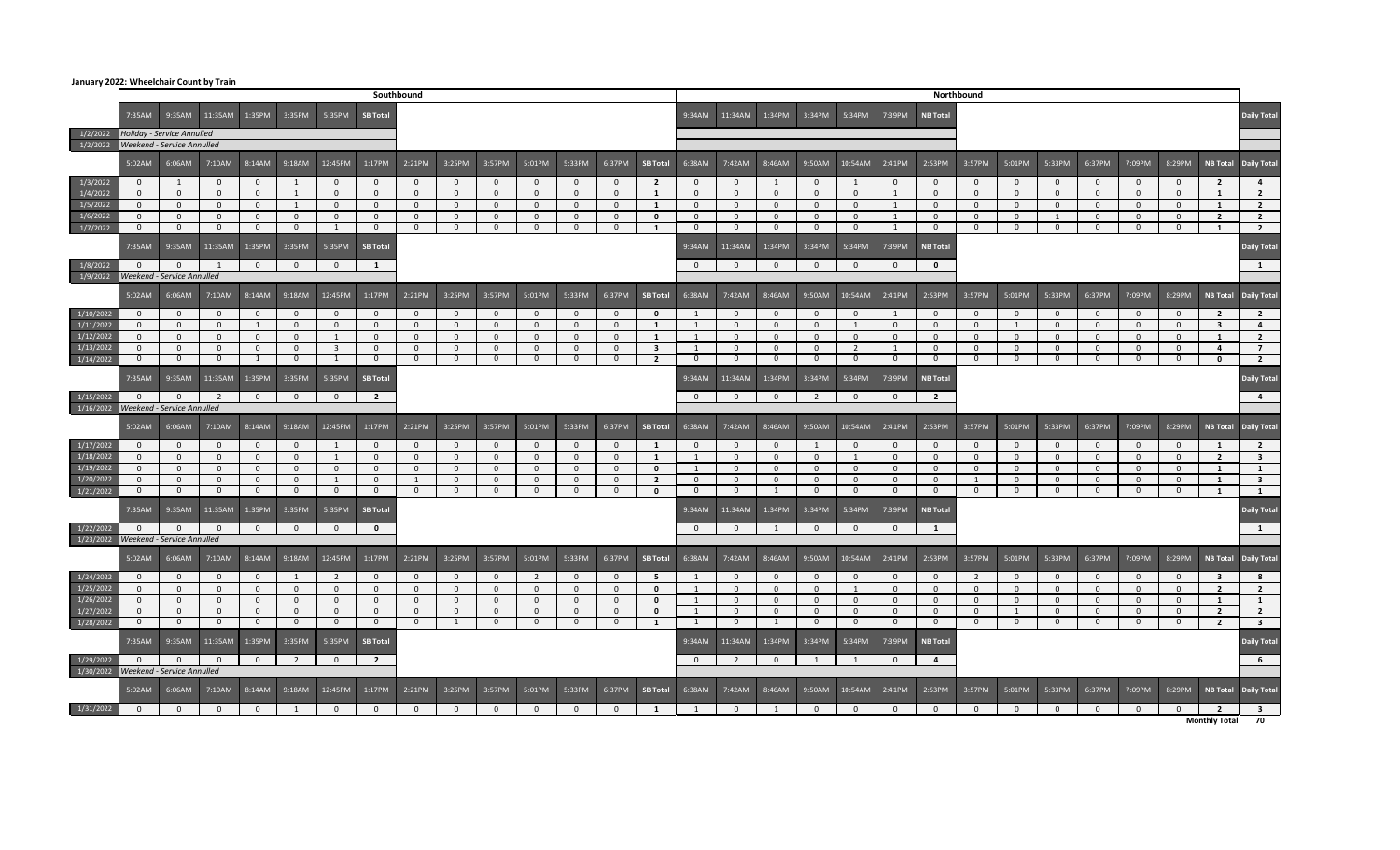|                        |                            | Southbound                                                                                              |                                |                          |                                  |                              |                          |                         |                          |                                  |                          |                            |              |                                         |              |                                  |                          |                                  |                          |                          |                         | Northbound                     |                            |                          |                      |                          |                      |                                |                                  |
|------------------------|----------------------------|---------------------------------------------------------------------------------------------------------|--------------------------------|--------------------------|----------------------------------|------------------------------|--------------------------|-------------------------|--------------------------|----------------------------------|--------------------------|----------------------------|--------------|-----------------------------------------|--------------|----------------------------------|--------------------------|----------------------------------|--------------------------|--------------------------|-------------------------|--------------------------------|----------------------------|--------------------------|----------------------|--------------------------|----------------------|--------------------------------|----------------------------------|
|                        | 7:35AM                     | 9:35AM                                                                                                  | 11:35AM                        | 1:35PM                   | 3:35PM                           | 5:35PM                       | <b>SB Total</b>          |                         |                          |                                  |                          |                            |              |                                         | 9:34AM       | 11:34AM                          | 1:34PM                   | 3:34PM                           | 5:34PM                   | 7:39PM                   | <b>NB Total</b>         |                                |                            |                          |                      |                          |                      |                                | <b>Daily Total</b>               |
| 1/2/2022               |                            | Holiday - Service Annulled                                                                              |                                |                          |                                  |                              |                          |                         |                          |                                  |                          |                            |              |                                         |              |                                  |                          |                                  |                          |                          |                         |                                |                            |                          |                      |                          |                      |                                |                                  |
| 1/2/2022               |                            | Weekend - Service Annulled                                                                              |                                |                          |                                  |                              |                          |                         |                          |                                  |                          |                            |              |                                         |              |                                  |                          |                                  |                          |                          |                         |                                |                            |                          |                      |                          |                      |                                |                                  |
|                        | 5:02AM                     | 6:06AM                                                                                                  | 7:10AM                         | 8:14AM                   | 9:18AM                           | 12:45PM                      | 1:17PM                   | 2:21PM                  | 3:25PM                   | 3:57PM                           | 5:01PM                   | 5:33PM                     | 6:37PM       | <b>SB Total</b>                         | 6:38AM       | 7:42AM                           | 8:46AM                   | 9:50AM                           | 10:54AM                  | 2:41PM                   | 2:53PM                  | 3:57PM                         | 5:01PM                     | 5:33PM                   | 6:37PM               | 7:09PM                   | 8:29PM               | <b>NB Total</b>                | <b>Daily Total</b>               |
| 1/3/2022               | $\Omega$                   |                                                                                                         | $\overline{0}$                 | $\Omega$                 |                                  | $\Omega$                     | $\Omega$                 | - 0                     | $\Omega$                 | $\overline{0}$                   | $\Omega$                 | - 0                        | $\cap$       | $\overline{2}$                          | $\Omega$     | $\overline{0}$                   |                          | $\overline{0}$                   |                          | $\Omega$                 | 0                       | $\mathbf{0}$                   | $\Omega$                   | $\overline{0}$           | - 0                  | $\overline{0}$           | - 0                  | $\overline{2}$                 |                                  |
| 1/4/2022               | $\mathbf{0}$               | $\mathbf{0}$                                                                                            | $\overline{0}$                 | $\Omega$                 | $\mathbf{1}$                     | $\overline{0}$               | $\mathbf{0}$             | $\overline{\mathbf{0}}$ | $\mathbf{0}$             | $\overline{0}$                   | $\Omega$<br>0            | $\mathbf{0}$               | $\mathbf{0}$ | $\mathbf{1}$                            | $\mathbf{0}$ | $\overline{0}$                   | $\overline{0}$           | $\overline{0}$                   | 0                        |                          | 0                       | $\overline{0}$                 | $\Omega$                   | $\mathbf{0}$             | - 0                  | $\mathbf{0}$             | $\Omega$             |                                | $\overline{\mathbf{2}}$          |
| 1/5/2022<br>1/6/2022   | $\mathbf 0$<br>$\Omega$    |                                                                                                         | $\mathbf{0}$<br>$\Omega$       | $\Omega$                 | $\Omega$                         | $\overline{0}$<br>$\Omega$   | $\Omega$<br>$\Omega$     | $\overline{0}$<br>- 0   |                          | $\overline{0}$<br>$\overline{0}$ |                          | $\Omega$<br>$\Omega$       |              | 1<br>$\mathbf 0$                        | $\Omega$     | $\mathbf 0$<br>-0                |                          | $\overline{0}$<br>$\overline{0}$ |                          |                          | - 0<br>$\Omega$         | $\mathbf{0}$<br>$\mathbf{0}$   | $\overline{0}$<br>$\Omega$ | $\mathbf{0}$             | - 0<br>$\Omega$      | $\mathbf{0}$<br>$\Omega$ | $\Omega$<br>$\Omega$ | $\overline{2}$                 | $\overline{2}$<br>$\overline{2}$ |
| 1/7/2022               | $\Omega$                   |                                                                                                         | $\mathbf{0}$                   | 0                        | $\Omega$                         |                              | 0                        | - 0                     | $\Omega$                 | $\overline{0}$                   | <sup>n</sup>             |                            |              | $\mathbf{1}$                            |              | -0                               |                          | $\mathbf{0}$                     |                          |                          | 0                       | $\Omega$                       | $\Omega$                   | $\Omega$                 | $\Omega$             | $\Omega$                 | -0                   |                                | $\overline{\mathbf{2}}$          |
|                        | 7:35AM                     | 9:35AM                                                                                                  | 11:35AM                        | 1:35PM                   | 3:35PM                           | 5:35PM                       | <b>SB Total</b>          |                         |                          |                                  |                          |                            |              |                                         | 9:34AM       | 11:34AM                          | 1:34PM                   | 3:34PM                           | 5:34PM                   | 7:39PM                   | <b>NB Total</b>         |                                |                            |                          |                      |                          |                      |                                | <b>Daily Total</b>               |
| 1/8/2022               | $\overline{0}$             |                                                                                                         |                                | $\Omega$                 | $\overline{0}$                   | $\overline{0}$               |                          |                         |                          |                                  |                          |                            |              |                                         |              | -0                               |                          | $\overline{0}$                   | $\Omega$                 | $\overline{0}$           | $\mathbf{0}$            |                                |                            |                          |                      |                          |                      |                                | $\mathbf{1}$                     |
| 1/9/2022               |                            | Weekend - Service Annulled                                                                              |                                |                          |                                  |                              |                          |                         |                          |                                  |                          |                            |              |                                         |              |                                  |                          |                                  |                          |                          |                         |                                |                            |                          |                      |                          |                      |                                |                                  |
|                        | 5:02AM                     | 6:06AM                                                                                                  | 7:10AM                         | 8:14AM                   | 9:18AM                           | 12:45PM                      | 1:17PM                   | 2:21PM                  | 3:25PM                   | 3:57PM                           | 5:01PM                   | 5:33PM                     | 6:37PM       | <b>SB Total</b>                         | 6:38AM       | 7:42AM                           | 8:46AM                   | 9:50AM                           | 10:54AM                  | 2:41PM                   | 2:53PM                  | 3:57PM                         | 5:01PM                     | 5:33PM                   | 6:37PM               | 7:09PM                   | 8:29PM               |                                | <b>NB Total Daily Total</b>      |
| 1/10/2022              | $\mathbf{0}$               |                                                                                                         | $\overline{0}$                 | $\Omega$                 | $\overline{0}$                   | $\overline{0}$               | $\Omega$                 | $\overline{0}$          | $\Omega$                 | $\overline{0}$                   | $\Omega$                 | $\mathbf{0}$               |              | $\mathbf{0}$                            |              | $\overline{0}$                   | $\overline{0}$           | $\overline{0}$                   |                          |                          | $\mathbf{0}$            | $\mathbf{0}$                   | 0                          | $\mathbf{0}$             | -0                   | $\mathbf{0}$             | - 0                  | $\overline{2}$                 | $\overline{\mathbf{2}}$          |
| 1/11/2022              | $\mathbf 0$                |                                                                                                         | $\overline{0}$                 |                          | $\Omega$                         | $\mathbf{0}$                 | $\Omega$                 | - 0                     | $\Omega$                 | $\overline{0}$                   | 0                        | $\Omega$                   | $\Omega$     | 1                                       |              | $\overline{0}$                   | $\Omega$                 | $\overline{0}$                   |                          | $\mathbf{0}$             | $\Omega$                | $\mathbf{0}$                   |                            | $\Omega$                 | - 0                  | $\Omega$                 | $\Omega$             | $\overline{\mathbf{3}}$        | -4                               |
| 1/12/2022<br>1/13/2022 | $\Omega$<br>$\Omega$       |                                                                                                         | $\Omega$<br>$\Omega$           | $\Omega$<br>$\Omega$     | $\Omega$<br>$\mathbf{0}$         | -3                           | $\Omega$<br>$\Omega$     | - 0<br>- 0              | $\Omega$<br>$\mathbf{0}$ | $\overline{0}$<br>$\overline{0}$ | <sup>n</sup><br>$\Omega$ | $\Omega$<br>$\Omega$       |              | $\mathbf{1}$<br>$\overline{\mathbf{3}}$ |              | $\overline{0}$<br>$\Omega$       | $\Omega$                 | $\overline{0}$<br>$\overline{0}$ | $\overline{\phantom{a}}$ | $\Omega$                 | $\Omega$<br>$\Omega$    | $\Omega$<br>$\Omega$           | - 0<br>$\Omega$            | $\Omega$<br>$\Omega$     | - 0<br>$\Omega$      | $\mathbf{0}$<br>$\Omega$ | - 0<br>$\Omega$      |                                | $\overline{2}$<br>$\overline{7}$ |
| 1/14/2022              | $\Omega$                   |                                                                                                         | 0                              |                          | $\Omega$                         |                              | $\Omega$                 | - 0                     | $\Omega$                 | $\overline{0}$                   |                          | $\Omega$                   |              | $\overline{2}$                          |              | - 0                              |                          | $\overline{0}$                   |                          | 0                        | $\Omega$                | $\Omega$                       | $\Omega$                   | $\Omega$                 | $\Omega$             | $\Omega$                 | $\Omega$             | $\Omega$                       | $\overline{2}$                   |
|                        | 7:35AM                     | 9:35AM                                                                                                  | 11:35AM                        | 1:35PM                   | 3:35PM                           | 5:35PM                       | <b>SB Total</b>          |                         |                          |                                  |                          |                            |              |                                         | 9:34AM       | 11:34AM                          | 1:34PM                   | 3:34PM                           | 5:34PM                   | 7:39PM                   | <b>NB Total</b>         |                                |                            |                          |                      |                          |                      |                                | <b>Daily Total</b>               |
| 1/15/2022              | $\overline{0}$             | $\overline{\phantom{a}}$<br>$\mathbf{0}$<br>$\overline{0}$<br>$\overline{0}$<br>$\overline{\mathbf{2}}$ |                                |                          |                                  |                              |                          |                         |                          |                                  |                          |                            |              |                                         |              | -0                               | $\overline{0}$           | $\overline{2}$                   | $\overline{0}$           | $\mathbf{0}$             | $\overline{\mathbf{2}}$ |                                |                            |                          |                      |                          |                      |                                | $\overline{4}$                   |
| 1/16/2022              |                            | Weekend - Service Annulled                                                                              |                                |                          |                                  |                              |                          |                         |                          |                                  |                          |                            |              |                                         |              |                                  |                          |                                  |                          |                          |                         |                                |                            |                          |                      |                          |                      |                                |                                  |
|                        | 5:02AM                     | 6:06AM                                                                                                  | 7:10AM                         | 8:14AM                   | 9:18AM                           | 12:45PM                      | 1:17PM                   | 2:21PM                  | 3:25PM                   | 3:57PM                           | 5:01PM                   | 5:33PM                     | 6:37PM       | <b>SB Total</b>                         | 6:38AM       | 7:42AM                           | 8:46AM                   | 9:50AM                           | 10:54AM                  | 2:41PM                   | 2:53PM                  | 3:57PM                         | 5:01PM                     | 5:33PM                   | 6:37PM               | 7:09PM                   | 8:29PM               |                                | <b>NB Total Daily Total</b>      |
|                        |                            |                                                                                                         |                                |                          |                                  |                              |                          |                         |                          |                                  |                          |                            |              |                                         |              |                                  |                          |                                  |                          |                          |                         |                                |                            |                          |                      |                          |                      |                                |                                  |
| 1/18/2022              | $\Omega$<br>$\Omega$       | $\Omega$                                                                                                | $\mathbf{0}$                   | $\mathbf{0}$<br>$\Omega$ | $\overline{0}$                   |                              | $\Omega$                 | - 0<br>$\overline{0}$   | $\Omega$<br>$\Omega$     | $\overline{0}$                   | $\Omega$<br>$\Omega$     | $\mathbf{0}$<br>$\Omega$   |              | $\mathbf{1}$                            |              | $\overline{0}$                   | $\Omega$<br>$\mathbf{0}$ | $\overline{0}$                   | $\Omega$                 | $\Omega$                 | $\Omega$<br>$\Omega$    | $\mathbf{0}$                   | $\Omega$<br>$\overline{0}$ | $\Omega$                 | $\Omega$<br>$\Omega$ | $\mathbf{0}$             | $\Omega$<br>$\Omega$ | $\overline{2}$<br>$\mathbf{1}$ | $\overline{\mathbf{3}}$          |
| 1/19/2022<br>1/20/2022 | $\Omega$                   |                                                                                                         | $\overline{0}$<br>$\Omega$     | $\Omega$                 | $\overline{0}$<br>$\mathbf{0}$   | $\mathbf{0}$                 | $\mathbf{0}$<br>$\Omega$ |                         |                          | $\overline{0}$<br>$\overline{0}$ |                          | $\Omega$                   |              | $\mathbf 0$<br>$\overline{2}$           | $\Omega$     | $\mathbf 0$<br>$\overline{0}$    | - 0                      | $\overline{0}$<br>$\overline{0}$ | - 0                      | $\mathbf{0}$<br>$\Omega$ | $\Omega$                | $\overline{0}$                 | $\Omega$                   | $\mathbf{0}$<br>$\Omega$ | $\Omega$             | $\mathbf{0}$<br>$\Omega$ | $\Omega$             |                                | $\overline{\mathbf{3}}$          |
| 1/21/2022              | 0                          |                                                                                                         | 0                              |                          | $\mathbf{0}$                     | $\mathbf{0}$                 | 0                        | - 0                     |                          | $\overline{0}$                   |                          |                            |              | $\mathbf 0$                             |              | 0                                |                          | $\mathbf{0}$                     |                          | 0                        | 0                       | $\overline{0}$                 | 0                          | $\Omega$                 | 0                    | $\Omega$                 | 0                    |                                |                                  |
|                        | 7:35AM                     | 9:35AM                                                                                                  | 11:35AM                        | 1:35PM                   | 3:35PM                           | 5:35PM                       | <b>SB Total</b>          |                         |                          |                                  |                          |                            |              |                                         | 9:34AM       | 11:34AM                          | 1:34PM                   | 3:34PM                           | 5:34PM                   | 7:39PM                   | <b>NB Total</b>         |                                |                            |                          |                      |                          |                      |                                | <b>Daily Total</b>               |
| 1/22/2022              | $\overline{0}$             |                                                                                                         | $\Omega$                       | $\Omega$                 | $\overline{0}$                   | $\overline{0}$               | $\mathbf 0$              |                         |                          |                                  |                          |                            |              |                                         |              | $\mathbf 0$                      |                          | $\overline{0}$                   | $\Omega$                 | $\overline{0}$           | - 1                     |                                |                            |                          |                      |                          |                      |                                | $\mathbf{1}$                     |
| 1/23/2022              |                            | Weekend - Service Annulled                                                                              |                                |                          |                                  |                              |                          |                         |                          |                                  |                          |                            |              |                                         |              |                                  |                          |                                  |                          |                          |                         |                                |                            |                          |                      |                          |                      |                                |                                  |
|                        | 5:02AM                     | 6:06AM                                                                                                  | 7:10AM                         | 8:14AM                   | 9:18AM                           | 12:45PM                      | 1:17PM                   | 2:21PM                  | 3:25PM                   | 3:57PM                           | 5:01PM                   | 5:33PM                     | 6:37PM       | <b>SB Total</b>                         | 6:38AM       | 7:42AM                           | 8:46AM                   | 9:50AM                           | 10:54AM                  | 2:41PM                   | 2:53PM                  | 3:57PM                         | 5:01PM                     | 5:33PM                   | 6:37PM               | 7:09PM                   | 8:29PM               |                                | <b>NB Total Daily Total</b>      |
| 1/24/2022              | $\overline{0}$             | $\Omega$                                                                                                | $\overline{0}$                 | $\Omega$                 |                                  | $\overline{2}$               | $\mathbf{0}$             | $\overline{\mathbf{0}}$ | $\mathbf{0}$             | $\overline{0}$                   | 2                        | $\overline{0}$             | $\mathbf{0}$ | 5                                       |              | $\overline{0}$                   | 0                        | $\overline{0}$                   | $\overline{0}$           | $\mathbf{0}$             | $\overline{0}$          | $\overline{2}$                 | $\mathbf 0$                | $\mathbf{0}$             | $\mathbf 0$          | $\mathbf{0}$             | $\mathbf{0}$         | $\overline{\mathbf{3}}$        | 8                                |
| 1/25/2022              | $\Omega$<br>$\Omega$       | $\Omega$<br>0                                                                                           | $\mathbf{0}$<br>$\overline{0}$ | $\Omega$                 | $\overline{0}$<br>$\overline{0}$ | $\mathbf{0}$                 | $\Omega$<br>$\Omega$     | - 0                     | $\mathbf{0}$<br>$\Omega$ | $\overline{0}$<br>$\overline{0}$ | $\Omega$<br>$\Omega$     | $\Omega$<br>$\overline{0}$ | റ            | $\mathbf 0$<br>$\mathbf 0$              |              | $\overline{0}$<br>$\overline{0}$ | $\Omega$                 | $\overline{0}$<br>$\overline{0}$ |                          | $\mathbf{0}$<br>$\Omega$ | 0<br>0                  | $\overline{0}$<br>$\mathbf{0}$ | $\Omega$<br>- 0            | $\mathbf{0}$<br>$\Omega$ | $\Omega$<br>- 0      | $\mathbf{0}$<br>$\Omega$ | $\Omega$<br>- 0      | $\overline{2}$                 | $\overline{2}$                   |
| 1/26/2022<br>1/27/2022 | $\mathbf 0$                |                                                                                                         | $\mathbf{0}$                   | - 0<br>$\Omega$          | 0                                | $\mathbf{0}$<br>$\mathbf{0}$ | 0                        | $\overline{\mathbf{0}}$ |                          | $\Omega$                         |                          |                            |              | $\mathbf{0}$                            |              | $\overline{0}$                   | $\overline{0}$           | $\mathbf{0}$                     | - 0                      | $\mathbf{0}$             | $\Omega$                | $\mathbf{0}$                   |                            | $\Omega$                 | 0                    | $\mathbf 0$              | $\Omega$             | $\overline{\mathbf{2}}$        | $\mathbf{1}$<br>$\overline{2}$   |
| 1/28/2022              | $\overline{0}$             |                                                                                                         | $\mathbf{0}$                   | $\Omega$                 | $\overline{0}$                   | $\mathbf{0}$                 | $\mathbf{0}$             | - 0                     |                          | $\overline{0}$                   | $\Omega$                 | $\Omega$                   | $\Omega$     | $\mathbf{1}$                            |              | -0                               |                          | $\overline{0}$                   | - 0                      | $\mathbf{0}$             | 0                       | $\mathbf{0}$                   | 0                          | $\mathbf{0}$             | $\Omega$             | $\mathbf{0}$             | $\mathbf{0}$         | $\overline{2}$                 | $\overline{\mathbf{3}}$          |
|                        | 7:35AM                     | 9:35AM                                                                                                  | 11:35AM                        | 1:35PM                   | 3:35PM                           | 5:35PM                       | <b>SB Total</b>          |                         |                          |                                  |                          |                            |              |                                         | 9:34AM       | 11:34AM                          | 1:34PM                   | 3:34PM                           | 5:34PM                   | 7:39PM                   | <b>NB Total</b>         |                                |                            |                          |                      |                          |                      |                                | <b>Daily Total</b>               |
| 1/29/2022              | $\overline{0}$             |                                                                                                         | $\Omega$                       | $\overline{0}$           | $\overline{2}$                   | $\mathbf{0}$                 | $\overline{\mathbf{2}}$  |                         |                          |                                  |                          |                            |              |                                         | $\Omega$     | $\overline{2}$                   | $\overline{0}$           | $\overline{1}$                   |                          | $\mathbf{0}$             | -4                      |                                |                            |                          |                      |                          |                      |                                | 6                                |
| 1/30/2022              | Weekend - Service Annulled |                                                                                                         |                                |                          |                                  |                              |                          |                         |                          |                                  |                          |                            |              |                                         |              |                                  |                          |                                  |                          |                          |                         |                                |                            |                          |                      |                          |                      |                                |                                  |
|                        | 5:02AM                     | 6:06AM                                                                                                  | 7:10AM                         | 8:14AM                   | 9:18AM                           | 12:45PM                      | 1:17PM                   | 2:21PM                  | 3:25PM                   | 3:57PM                           | 5:01PM                   | 5:33PM                     | 6:37PM       | <b>SB Total</b>                         | 6:38AM       | 7:42AM                           | 8:46AM                   | 9:50AM                           | 10:54AM                  | 2:41PM                   | 2:53PM                  | 3:57PM                         | 5:01PM                     | 5:33PM                   | 6:37PM               | 7:09PM                   | 8:29PM               |                                | <b>NB Total Daily Total</b>      |
| 1/31/2022              | $\overline{0}$             | $\cap$                                                                                                  | $\overline{0}$                 | $\Omega$                 |                                  | $\mathbf{0}$                 | $\Omega$                 | - 0                     | $\cap$                   | $\overline{0}$                   | $\Omega$                 | $\overline{0}$             | $\cap$       |                                         |              | -0                               |                          | $\Omega$                         |                          | $\mathbf{0}$             | 0                       | $\mathbf{0}$                   | $\Omega$                   | $\Omega$                 | $\Omega$             | $\mathbf{0}$             | $\mathbf{0}$         | $\overline{2}$                 | $\overline{\mathbf{3}}$          |

**Monthly Total 70**

## **January 2022: Wheelchair Count by Train**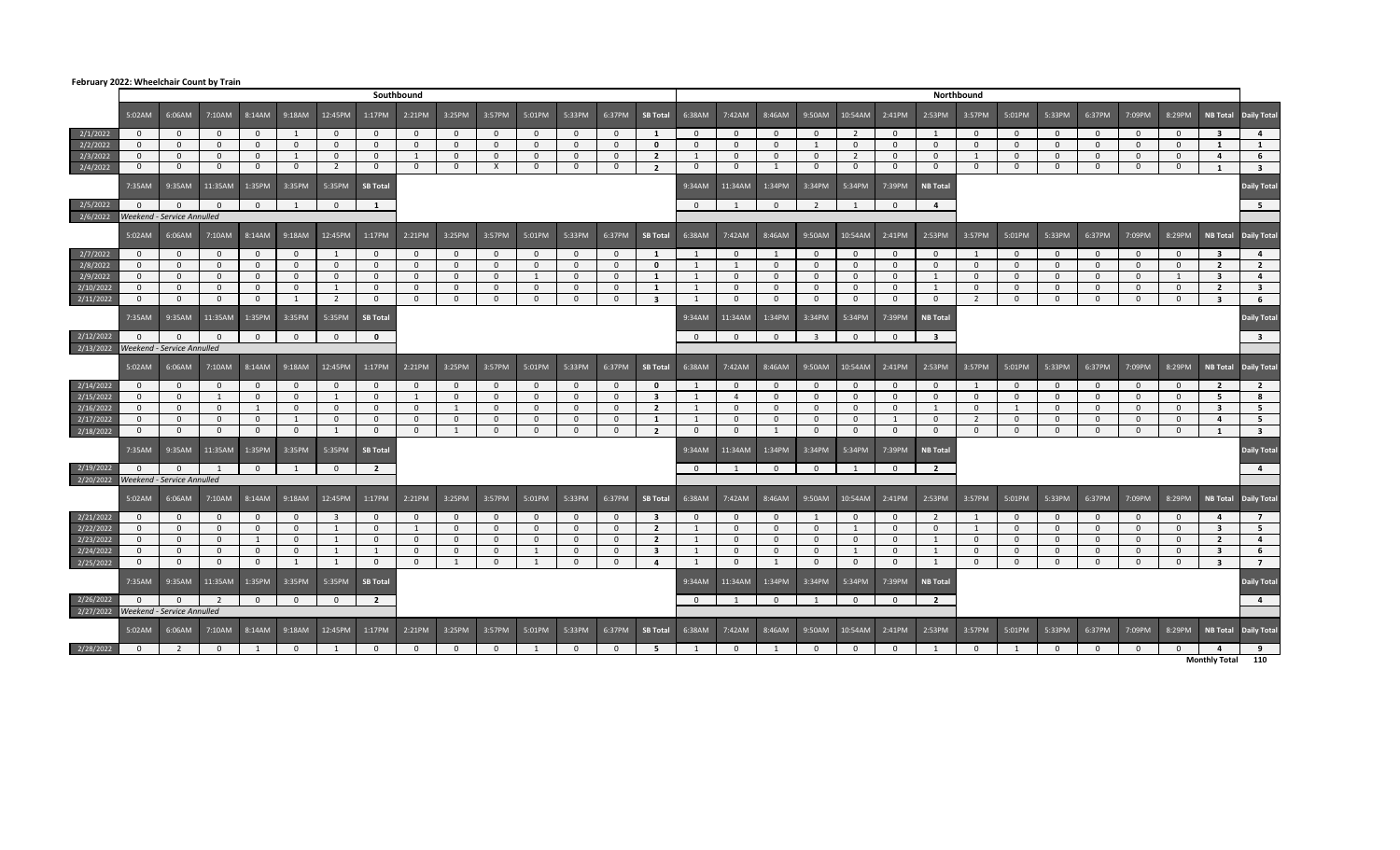| <b>I CDI GOI Y LULL. WIILCICION COUNT BY TIGHT</b> |                                                                                                                                                                       |                                                     |                              |                |                         |                         |                          | Southbound                 |                |                                  |                |                          |              |                                           |                |                             |                |                                                            |                |                              |                         | Northbound                     |                       |                             |                     |                                |                                  |                                                    |                                                    |
|----------------------------------------------------|-----------------------------------------------------------------------------------------------------------------------------------------------------------------------|-----------------------------------------------------|------------------------------|----------------|-------------------------|-------------------------|--------------------------|----------------------------|----------------|----------------------------------|----------------|--------------------------|--------------|-------------------------------------------|----------------|-----------------------------|----------------|------------------------------------------------------------|----------------|------------------------------|-------------------------|--------------------------------|-----------------------|-----------------------------|---------------------|--------------------------------|----------------------------------|----------------------------------------------------|----------------------------------------------------|
|                                                    | 5:02AM                                                                                                                                                                | 6:06AM                                              | 7:10AM                       | 8:14AM         | 9:18AM                  | 12:45PM                 | 1:17PM                   | 2:21PM                     | 3:25PM         | 3:57PM                           | 5:01PM         | 5:33PM                   | 6:37PM       | <b>SB Total</b>                           | 6:38AM         | 7:42AM                      | 8:46AM         | 9:50AM                                                     | 10:54AM        | 2:41PM                       | 2:53PM                  | 3:57PM                         | 5:01PM                | 5:33PM                      | 6:37PM              | 7:09PM                         | 8:29PM                           |                                                    | <b>NB Total Daily Total</b>                        |
| 2/1/2022                                           | $\overline{0}$                                                                                                                                                        | $\Omega$                                            | $\Omega$                     | $\Omega$       |                         | $\overline{0}$          | $\Omega$                 | $\Omega$                   |                | - 0                              | $\Omega$       | $\Omega$                 | $\Omega$     | $\mathbf{1}$                              | $\Omega$       | $\mathbf{0}$                | $\Omega$       | $\overline{0}$                                             | ີ              | $\mathbf{0}$                 |                         | $\overline{0}$                 | $\Omega$              | $\Omega$                    | $\Omega$            | $\Omega$                       | $\Omega$                         | $\overline{\mathbf{3}}$                            | $\overline{a}$                                     |
| 2/2/2022                                           | $\Omega$                                                                                                                                                              | $\Omega$                                            | $\Omega$                     | $\Omega$       | $\overline{0}$          | $\overline{0}$          | $\Omega$                 | - 0                        |                | $\overline{0}$                   | $\cap$         | $\Omega$                 |              | $\mathbf{0}$                              | $\Omega$       | $\mathbf{0}$                | $\Omega$       | $\mathbf{1}$                                               | $\Omega$       | $\Omega$                     | $\Omega$                | $\mathbf{0}$                   | - 0                   | $\Omega$                    | $\Omega$            | $\Omega$                       | - 0                              |                                                    |                                                    |
| 2/3/2022                                           | $\Omega$                                                                                                                                                              |                                                     | $\Omega$                     |                |                         | 0                       | $\Omega$                 |                            |                | $\overline{0}$                   |                | $\Omega$                 |              | $\overline{2}$                            |                | $\Omega$                    |                | $\overline{0}$                                             |                | $\Omega$                     | $\Omega$                |                                |                       | $\Omega$                    |                     | $\Omega$                       |                                  | 4                                                  | 6                                                  |
| 2/4/2022                                           | $\overline{0}$                                                                                                                                                        | $\Omega$                                            | $\overline{0}$               | $\Omega$       | $\overline{0}$          | -2                      | $\Omega$                 | $\Omega$                   | $\Omega$       | X                                | $\Omega$       | $\Omega$                 | $\Omega$     | $\overline{2}$                            | $\Omega$       | $\mathbf{0}$                |                | $\overline{0}$                                             | $\Omega$       | $\overline{0}$               | - 0                     | $\overline{0}$                 | n                     | $\Omega$                    | n                   | $\Omega$                       | $\Omega$                         |                                                    | $\overline{\mathbf{3}}$                            |
|                                                    | 7:35AM                                                                                                                                                                | 9:35AM                                              | 11:35AM                      | 1:35PM         | 3:35PM                  | 5:35PM                  | <b>SB Total</b>          |                            |                |                                  |                |                          |              |                                           | 9:34AM         | 11:34AM                     | 1:34PM         | 3:34PM                                                     | 5:34PM         | 7:39PM                       | <b>NB Total</b>         |                                |                       |                             |                     |                                |                                  |                                                    | <b>Daily Total</b>                                 |
| 2/5/2022                                           | $\Omega$                                                                                                                                                              | $\Omega$                                            | $\Omega$                     | $\overline{0}$ | $\overline{1}$          | $\overline{0}$          |                          |                            |                |                                  |                |                          |              |                                           | $\Omega$       |                             | $\Omega$       | $\overline{2}$                                             |                | $\overline{0}$               | 4                       |                                |                       |                             |                     |                                |                                  |                                                    | 5 <sub>5</sub>                                     |
| 2/6/2022                                           |                                                                                                                                                                       | Weekend - Service Annulled                          |                              |                |                         |                         |                          |                            |                |                                  |                |                          |              |                                           |                |                             |                |                                                            |                |                              |                         |                                |                       |                             |                     |                                |                                  |                                                    |                                                    |
|                                                    | 5:02AM                                                                                                                                                                | 6:06AM                                              | 7:10AM                       | 8:14AM         | 9:18AM                  | 12:45PM                 | 1:17PM                   | 2:21PM                     | 3:25PM         | 3:57PM                           | 5:01PM         | 5:33PM                   | 6:37PM       | <b>SB Total</b>                           | 6:38AM         | 7:42AM                      | 8:46AM         | 9:50AM                                                     | 10:54AM        | 2:41PM                       | 2:53PM                  | 3:57PM                         | 5:01PM                | 5:33PM                      | 6:37PM              | 7:09PM                         | 8:29PM                           |                                                    | <b>NB Total Daily Total</b>                        |
| 2/7/2022                                           | $\overline{0}$                                                                                                                                                        | $\Omega$                                            | $\overline{0}$               | $\Omega$       | $\overline{0}$          |                         | $\Omega$                 | -0                         |                | $\overline{0}$                   | $\Omega$       | $\Omega$                 | $\cap$       | -1                                        |                | $\Omega$                    |                | $\overline{0}$                                             | $\Omega$       | $\overline{0}$               | - 0                     |                                | - 0                   | 0                           | - 0                 | $\overline{0}$                 | $\overline{0}$                   | $\mathbf{3}$                                       | $\mathbf 4$                                        |
| 2/8/2022                                           | $\mathbf 0$                                                                                                                                                           | $\Omega$                                            | $\Omega$                     |                | $\Omega$                | $\Omega$                | $\Omega$                 | $\overline{0}$             |                | $\overline{0}$                   | $\Omega$       | $\overline{0}$           |              | $\Omega$                                  |                |                             |                | $\overline{0}$                                             |                | $\Omega$                     | $\Omega$                | $\mathbf{0}$                   |                       | $\mathbf{0}$                |                     | $\Omega$                       | $\Omega$                         | $\overline{2}$                                     | $\overline{2}$                                     |
| 2/9/2022<br>2/10/2022                              | $\Omega$<br>$\Omega$                                                                                                                                                  |                                                     | $\Omega$<br>$\Omega$         |                | $\mathbf 0$<br>$\Omega$ | $\Omega$                | $\Omega$<br>$\Omega$     | $\overline{0}$<br>$\cap$   |                | $\overline{0}$<br>$\Omega$       |                | $\Omega$<br>$\Omega$     |              |                                           |                | $\Omega$<br>$\Omega$        |                | $\overline{0}$<br>$\overline{0}$                           | $\Omega$       | $\mathbf 0$<br>$\cap$        |                         | $\mathbf 0$<br>$\Omega$        | 0                     | $\mathbf{0}$                | -0                  | $\mathbf{0}$<br>$\cap$         | $\Omega$                         | $\overline{\mathbf{3}}$<br>$\overline{2}$          | $\overline{\mathbf{a}}$<br>$\overline{\mathbf{3}}$ |
| 2/11/2022                                          | $\Omega$                                                                                                                                                              | 0                                                   | $\mathbf{0}$                 | 0              |                         |                         | $\mathbf{0}$             | $\mathbf 0$                | - 0            | $\overline{0}$                   | $\mathbf{0}$   | $\Omega$                 | $\Omega$     | $\overline{\mathbf{3}}$                   |                | $\mathbf{0}$                |                | $\overline{0}$                                             | $\Omega$       | $\mathbf{0}$                 | - 0                     |                                | 0                     | $\mathbf{0}$                |                     | $\mathbf{0}$                   | $\overline{0}$                   | $\overline{\mathbf{3}}$                            | 6                                                  |
|                                                    | 7:35AM                                                                                                                                                                | 9:35AM                                              | 11:35AM                      | 1:35PM         | 3:35PM                  | 5:35PM                  | <b>SB Total</b>          |                            |                |                                  |                |                          |              |                                           | 9:34AM         | 11:34AM                     | 1:34PM         | 3:34PM                                                     | 5:34PM         | 7:39PM                       | <b>NB Total</b>         |                                |                       |                             |                     |                                |                                  |                                                    | <b>Daily Total</b>                                 |
| 2/12/2022                                          | $\overline{0}$                                                                                                                                                        | $\Omega$                                            | $\Omega$                     | $\Omega$       | $\overline{0}$          | $\overline{0}$          | $\mathbf 0$              |                            |                |                                  |                |                          |              |                                           | $\Omega$       | $\Omega$                    | $\Omega$       | -3                                                         | $\Omega$       | $\overline{0}$               | $\overline{\mathbf{3}}$ |                                |                       |                             |                     |                                |                                  |                                                    | $\overline{\mathbf{3}}$                            |
| 2/13/2022                                          | Weekend - Service Annulled                                                                                                                                            |                                                     |                              |                |                         |                         |                          |                            |                |                                  |                |                          |              |                                           |                |                             |                |                                                            |                |                              |                         |                                |                       |                             |                     |                                |                                  |                                                    |                                                    |
|                                                    | 5:02AM                                                                                                                                                                | 6:06AM                                              | 7:10AM                       | 8:14AM         | 9:18AM                  | 12:45PM                 | 1:17PM                   | 2:21PM                     | 3:25PM         | 3:57PM                           | 5:01PM         | 5:33PM                   | 6:37PM       | <b>SB Total</b>                           | 6:38AM         | 7:42AM                      | 8:46AM         | 9:50AM                                                     | 10:54AM        | 2:41PM                       | 2:53PM                  | 3:57PM                         | 5:01PM                | 5:33PM                      | 6:37PM              | 7:09PM                         | 8:29PM                           |                                                    | <b>NB Total</b> Daily Total                        |
| 2/14/2022                                          | $\mathbf{0}$                                                                                                                                                          | $\Omega$                                            | $\mathbf{0}$                 | $\Omega$       | $\overline{0}$          | $\overline{0}$          | $\mathbf{0}$             | $\overline{0}$             | $\Omega$       | $\overline{0}$                   | $\overline{0}$ | $\overline{0}$           | $\Omega$     | $\mathbf{0}$                              |                | $\overline{0}$              | $\Omega$       | $\overline{0}$                                             | $\Omega$       | $\mathbf{0}$                 | $\overline{0}$          |                                | $\overline{0}$        | $\mathbf{0}$                | $\Omega$            | $\mathbf{0}$                   | $\overline{0}$                   | $\overline{2}$                                     | $\overline{2}$                                     |
| 2/15/2022                                          | $\Omega$                                                                                                                                                              | $\Omega$                                            |                              | - റ            | $\Omega$                |                         | $\Omega$                 |                            |                | $\Omega$                         | $\Omega$       | $\Omega$                 |              | -3                                        |                | Δ.                          | $\Omega$       | $\overline{0}$                                             | $\cap$         | $\Omega$                     | $\Omega$                | $\Omega$                       | $\Omega$              | $\Omega$                    | $\Omega$            | $\Omega$                       | - റ                              |                                                    | -8                                                 |
| 2/16/2022                                          | $\Omega$<br>$\Omega$                                                                                                                                                  |                                                     | $\Omega$<br>$\Omega$         |                | $\cap$                  | - 0<br>$\Omega$         | $\Omega$<br>$\mathbf{0}$ | $\Omega$<br>$\overline{0}$ |                | $\Omega$<br>$\overline{0}$       | $\Omega$       | $\Omega$<br>$\Omega$     |              | $\overline{2}$                            |                | $\Omega$<br>$\Omega$        |                | $\overline{0}$                                             |                | $\Omega$                     |                         | $\Omega$<br>$\mathcal{D}$      |                       | $\Omega$<br>$\Omega$        |                     | $\Omega$<br>$\Omega$           | $\Omega$                         | $\overline{\mathbf{3}}$<br>$\mathbf{A}$            | -5                                                 |
| 2/17/2022<br>2/18/2022                             | $\Omega$                                                                                                                                                              | $\Omega$                                            | $\Omega$                     | <sup>0</sup>   | $\Omega$                |                         | $\overline{0}$           | -0                         |                | $\overline{0}$                   | $\Omega$       | $\Omega$                 | $\Omega$     | $\overline{2}$                            | $\Omega$       | $\Omega$                    |                | $\overline{0}$<br>$\overline{0}$                           | $\Omega$       | $\mathbf{0}$                 | - 0                     | $\mathbf{0}$                   | $\Omega$              | $\Omega$                    | $\Omega$            | $\Omega$                       | 0                                |                                                    | $5^{\circ}$<br>$\overline{\mathbf{3}}$             |
|                                                    |                                                                                                                                                                       | 7:35AM 9:35AM 11:35AM 1:35PM 3:35PM 5:35PM SB Total |                              |                |                         |                         |                          |                            |                |                                  |                |                          |              |                                           |                |                             |                | 9:34AM  11:34AM  1:34PM  3:34PM  5:34PM  7:39PM  NB  Total |                |                              |                         |                                |                       |                             |                     |                                |                                  |                                                    | <b>Daily Total</b>                                 |
| 2/19/2022                                          | $\overline{0}$                                                                                                                                                        | $\Omega$                                            | $\overline{1}$               | $\overline{0}$ | $\overline{1}$          | $\overline{0}$          | $\overline{\mathbf{2}}$  |                            |                |                                  |                |                          |              |                                           | $\overline{0}$ | $\overline{1}$              | $\overline{0}$ | $\overline{0}$                                             | $\overline{1}$ | $\overline{0}$               | $\overline{\mathbf{2}}$ |                                |                       |                             |                     |                                |                                  |                                                    | $\overline{4}$                                     |
| 2/20/2022 Weekend - Service Annulled               |                                                                                                                                                                       |                                                     |                              |                |                         |                         |                          |                            |                |                                  |                |                          |              |                                           |                |                             |                |                                                            |                |                              |                         |                                |                       |                             |                     |                                |                                  |                                                    |                                                    |
|                                                    | 5:02AM                                                                                                                                                                | 6:06AM                                              | 7:10AM                       | 8:14AM         | 9:18AM                  | 12:45PM                 | 1:17PM                   | 2:21PM                     | 3:25PM         | 3:57PM                           | 5:01PM         | 5:33PM                   | 6:37PM       | <b>SB Total</b>                           | 6:38AM         | 7:42AM                      | 8:46AM         | 9:50AM                                                     | 10:54AM        | 2:41PM                       | 2:53PM                  | 3:57PM                         | 5:01PM                | 5:33PM                      | 6:37PM              | 7:09PM                         | 8:29PM                           |                                                    | <b>NB Total Daily Total</b>                        |
| 2/21/2022                                          | $\mathbf{0}$                                                                                                                                                          | $\overline{0}$                                      | $\mathbf{0}$                 | $\Omega$       | $\overline{0}$          | $\overline{\mathbf{3}}$ | $\overline{0}$           | $\mathbf 0$                | $\overline{0}$ | $\overline{0}$                   | $\overline{0}$ | $\mathbf 0$              | $\Omega$     | $\overline{\mathbf{3}}$                   | $\mathbf{0}$   | $\overline{0}$              | $\mathbf{0}$   | $\mathbf{1}$                                               | $\overline{0}$ | $\overline{0}$               | $\overline{2}$          | 1                              | $\overline{0}$        | $\overline{0}$              | $\overline{0}$      | $\overline{0}$                 | $\overline{0}$                   | $\overline{a}$                                     | $\overline{7}$                                     |
| 2/22/2022                                          | $\Omega$                                                                                                                                                              | $\Omega$                                            | $\Omega$                     |                | $\Omega$                |                         |                          |                            |                | $\overline{0}$                   | $\Omega$       | $\Omega$                 |              | $\overline{2}$                            |                | $\Omega$                    |                | $\overline{0}$                                             |                |                              |                         |                                | $\Omega$              |                             |                     | $\mathbf{0}$                   | - 0                              | $\mathbf{3}$                                       | 5 <sup>5</sup>                                     |
| 2/23/2022                                          | $\mathbf 0$                                                                                                                                                           | $\overline{0}$                                      | $\overline{0}$               |                | $\overline{0}$          |                         | $\overline{0}$           | $\mathbf 0$                | 0              | $\overline{0}$                   | $\mathbf{0}$   | $\overline{0}$           |              | $\overline{2}$                            |                | $\overline{0}$              |                | $\overline{0}$                                             | $\Omega$       | $\overline{0}$               |                         | $\overline{0}$                 | 0                     | $\overline{0}$              | $\Omega$            | $\overline{0}$                 | $\overline{0}$                   | $\overline{2}$                                     | $\overline{4}$                                     |
| 2/24/2022                                          | $\mathbf{0}$<br>$\overline{0}$                                                                                                                                        | $\Omega$                                            | $\mathbf{0}$<br>$\mathbf{0}$ |                | $\Omega$                |                         | $\mathbf{0}$             | -0<br>- 0                  |                | $\overline{0}$<br>$\overline{0}$ |                | $\Omega$<br>$\mathbf{0}$ | $\mathbf{0}$ | $\overline{\mathbf{3}}$<br>$\overline{4}$ |                | $\mathbf 0$<br>$\mathbf{0}$ | 0              | $\overline{0}$<br>$\overline{0}$                           | 0              | $\mathbf{0}$<br>$\mathbf{0}$ |                         | $\overline{0}$<br>$\mathbf{0}$ | - 0<br>$\overline{0}$ | $\mathbf 0$<br>$\mathbf{0}$ | 0<br>$\overline{0}$ | $\mathbf{0}$<br>$\overline{0}$ | $\overline{0}$<br>$\overline{0}$ | $\overline{\mathbf{3}}$<br>$\overline{\mathbf{3}}$ | 6<br>$\overline{7}$                                |
| 2/25/2022                                          |                                                                                                                                                                       |                                                     |                              |                |                         |                         |                          |                            |                |                                  |                |                          |              |                                           |                |                             |                |                                                            |                |                              |                         |                                |                       |                             |                     |                                |                                  |                                                    |                                                    |
|                                                    | 7:35AM                                                                                                                                                                | 9:35AM                                              | 11:35AM                      | 1:35PM         | 3:35PM                  | 5:35PM                  | <b>SB Total</b>          |                            |                |                                  |                |                          |              |                                           | 9:34AM         | 11:34AM                     | 1:34PM         | 3:34PM                                                     | 5:34PM         | 7:39PM                       | <b>NB Total</b>         |                                |                       |                             |                     |                                |                                  |                                                    | <b>Daily Total</b>                                 |
| 2/26/2022                                          | $\overline{0}$<br>$\overline{2}$<br>$\overline{0}$<br>$\overline{0}$<br>$\overline{0}$<br>$\overline{\mathbf{2}}$<br>$\Omega$<br>2/27/2022 Weekend - Service Annulled |                                                     |                              |                |                         |                         |                          |                            |                |                                  |                |                          |              |                                           | $\Omega$       |                             | $\mathbf{0}$   | $\mathbf{1}$                                               | $\overline{0}$ | $\overline{0}$               | $\overline{\mathbf{2}}$ |                                |                       |                             |                     |                                |                                  |                                                    | $\overline{4}$                                     |
|                                                    | 3:57PM<br>5:33PM<br>7:10AM<br>8:14AM<br>9:18AM<br>12:45PM<br>1:17PM<br>2:21PM<br>3:25PM<br>5:01PM<br>5:02AM<br>6:06AM                                                 |                                                     |                              |                |                         |                         |                          |                            |                |                                  |                |                          | 6:37PM       | <b>SB Total</b>                           | 6:38AM         | 7:42AM                      | 8:46AM         | 9:50AM                                                     | 10:54AM        | 2:41PM                       | 2:53PM                  | 3:57PM                         | 5:01PM                | 5:33PM                      | 6:37PM              | 7:09PM                         | 8:29PM                           |                                                    | <b>NB Total Daily Total</b>                        |
| 2/28/2022                                          | $\overline{0}$                                                                                                                                                        | $\overline{2}$                                      | $\mathbf{0}$                 |                | $\overline{0}$          |                         | $\overline{0}$           | $\overline{0}$             | $\overline{0}$ | $\overline{0}$                   |                | $\overline{0}$           | $\Omega$     | 5 <sup>5</sup>                            | $\overline{1}$ | $\overline{0}$              |                | $\overline{0}$                                             | $\overline{0}$ | $\overline{0}$               |                         | $\overline{0}$                 |                       | $\overline{0}$              | $\overline{0}$      | $\overline{0}$                 | $\overline{0}$                   | $\overline{4}$                                     | $\overline{\phantom{a}}$ 9                         |
|                                                    |                                                                                                                                                                       |                                                     |                              |                |                         |                         |                          |                            |                |                                  |                |                          |              |                                           |                |                             |                |                                                            |                |                              |                         |                                |                       |                             |                     |                                |                                  |                                                    |                                                    |

**Monthly Total 110**

# **February 2022: Wheelchair Count by Train**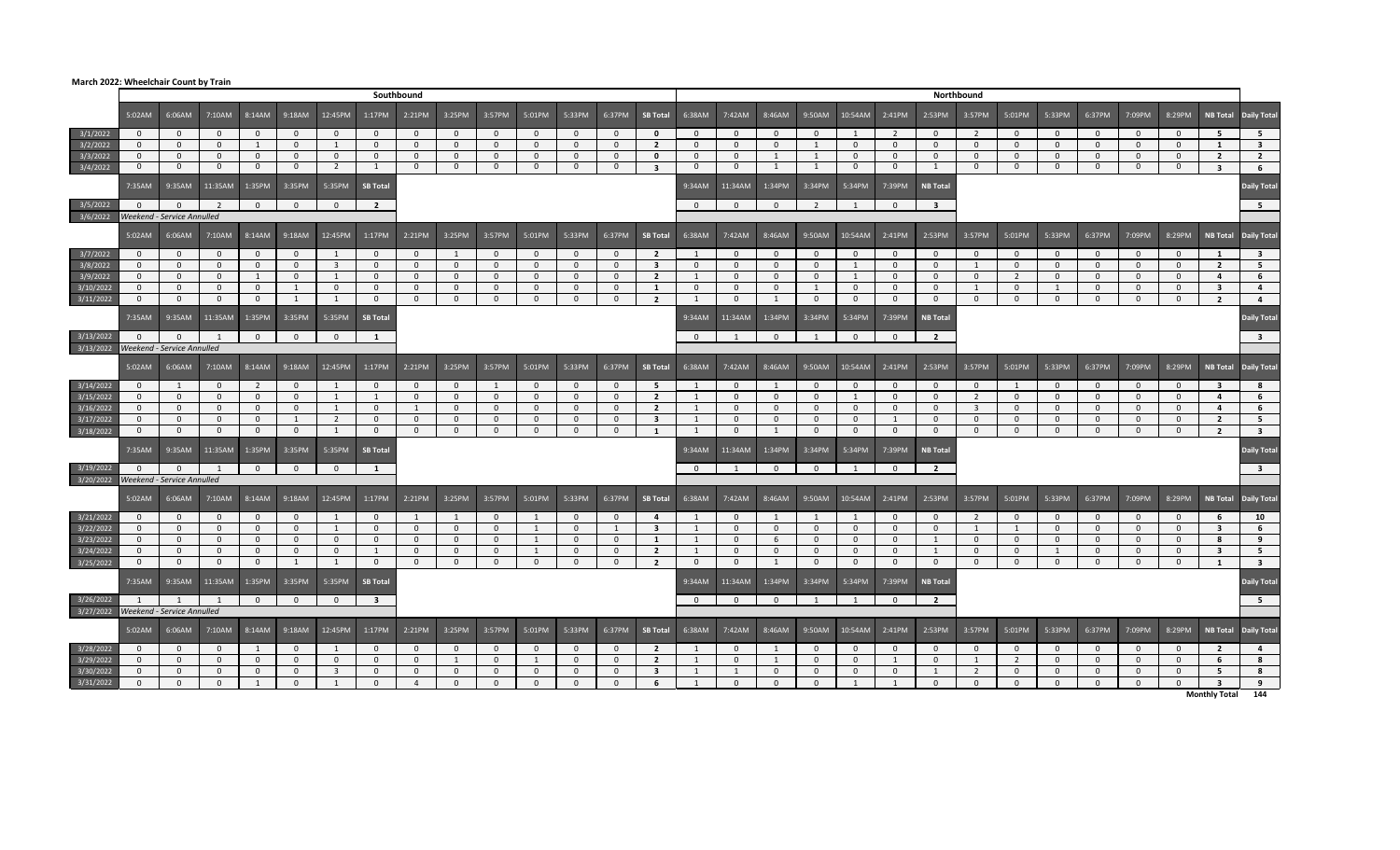|           |                | $11141$ and $2221$ and $21311$ and $22411$ and $2711$ |                |                |                |                |                         |                         |              |                |                |                |              |                         |                |              |                |                         |                                                            |                |                         |                |                |                |          |                |                |                             |                             |
|-----------|----------------|-------------------------------------------------------|----------------|----------------|----------------|----------------|-------------------------|-------------------------|--------------|----------------|----------------|----------------|--------------|-------------------------|----------------|--------------|----------------|-------------------------|------------------------------------------------------------|----------------|-------------------------|----------------|----------------|----------------|----------|----------------|----------------|-----------------------------|-----------------------------|
|           |                |                                                       |                |                |                |                |                         | Southbound              |              |                |                |                |              |                         |                |              |                |                         |                                                            |                |                         | Northbound     |                |                |          |                |                |                             |                             |
|           |                |                                                       |                |                |                |                |                         |                         |              |                |                |                |              |                         |                |              |                |                         |                                                            |                |                         |                |                |                |          |                |                |                             |                             |
|           | 5:02AM         | 6:06AM                                                | 7:10AM         | 8:14AM         | 9:18AM         | 12:45PM        | 1:17PM                  | 2:21PM                  | 3:25PM       | 3:57PM         | 5:01PM         | 5:33PM         | 6:37PM       | <b>SB Total</b>         | 6:38AM         | 7:42AM       | 8:46AM         | 9:50AM                  | 10:54AM                                                    | 2:41PM         | 2:53PM                  | 3:57PM         | 5:01PM         | 5:33PM         | 6:37PM   | 7:09PM         | 8:29PM         | NB Total Daily Total        |                             |
|           |                |                                                       |                |                |                |                |                         |                         |              |                |                |                |              |                         |                |              |                |                         |                                                            |                |                         |                |                |                |          |                |                |                             |                             |
| 3/1/2022  |                |                                                       | $\mathbf{0}$   | $\overline{0}$ | $\overline{0}$ | $\Omega$       | $\Omega$                | $\overline{0}$          | - 0          | $\overline{0}$ | $\Omega$       | $\overline{0}$ | $\Omega$     | $\mathbf{0}$            | $\Omega$       | $\mathbf{0}$ | $\Omega$       | $\overline{0}$          |                                                            | $\overline{2}$ | $\Omega$                | $\overline{2}$ | $\Omega$       | $\overline{0}$ | $\Omega$ | $\overline{0}$ | $\Omega$       | 5                           | $-5$                        |
| 3/2/2022  |                |                                                       | $\mathbf{0}$   |                | $\overline{0}$ |                | $\mathbf{0}$            | $\overline{0}$          | 0            | $\overline{0}$ | $\overline{0}$ | $\overline{0}$ | $\Omega$     | $\overline{2}$          | $\mathbf{0}$   | $\Omega$     | $\Omega$       |                         | $\Omega$                                                   | $\mathbf{0}$   |                         | $\mathbf{0}$   |                | $\overline{0}$ | $\Omega$ | $\mathbf{0}$   | $\Omega$       | $\mathbf{1}$                | $\overline{\mathbf{3}}$     |
| 3/3/2022  | $\overline{0}$ | $\Omega$                                              | $\mathbf{0}$   | $\overline{0}$ | $\mathbf{0}$   | $\mathbf{0}$   | $\Omega$                | $\overline{0}$          | $\Omega$     | $\overline{0}$ | $\Omega$       | $\overline{0}$ | $\Omega$     | $\mathbf{0}$            | $\mathbf{0}$   | $\mathbf{0}$ |                | $\overline{1}$          | - 0                                                        | $\Omega$       | $\Omega$                | $\Omega$       | $\Omega$       | $\overline{0}$ |          | $\overline{0}$ | $\Omega$       | $\overline{2}$              | $\overline{\mathbf{2}}$     |
| 3/4/2022  |                |                                                       | 0              |                | 0              |                |                         | - 0                     |              | - 0            |                | $\Omega$       |              | $\overline{\mathbf{3}}$ |                | 0            |                |                         |                                                            |                |                         | $\Omega$       |                | $\Omega$       |          | $\Omega$       |                | $\overline{\mathbf{3}}$     | - 6                         |
|           |                |                                                       |                |                |                |                |                         |                         |              |                |                |                |              |                         |                |              |                |                         |                                                            |                |                         |                |                |                |          |                |                |                             |                             |
|           | 7:35AM         | 9:35AM                                                | 11:35AM        | 1:35PM         | 3:35PM         | 5:35PM         | <b>SB Total</b>         |                         |              |                |                |                |              |                         | 9:34AM         | 11:34AM      | 1:34PM         | 3:34PM                  | 5:34PM                                                     | 7:39PM         | <b>NB Total</b>         |                |                |                |          |                |                |                             | <b>Daily Total</b>          |
|           |                |                                                       |                |                |                |                |                         |                         |              |                |                |                |              |                         |                |              |                |                         |                                                            |                |                         |                |                |                |          |                |                |                             |                             |
| 3/5/2022  | $\mathbf{0}$   |                                                       | $\overline{2}$ | $\overline{0}$ | $\overline{0}$ | $\overline{0}$ | $\overline{\mathbf{2}}$ |                         |              |                |                |                |              |                         | $\overline{0}$ | $\mathbf{0}$ | $\mathbf{0}$   | $\overline{2}$          |                                                            | $\mathbf{0}$   | $\overline{\mathbf{3}}$ |                |                |                |          |                |                |                             | 5 <sub>5</sub>              |
| 3/6/2022  |                | Weekend - Service Annulled                            |                |                |                |                |                         |                         |              |                |                |                |              |                         |                |              |                |                         |                                                            |                |                         |                |                |                |          |                |                |                             |                             |
|           | 5:02AM         | 6:06AM                                                | 7:10AM         | 8:14AM         | 9:18AM         | 12:45PM        | 1:17PM                  | 2:21PM                  | 3:25PM       | 3:57PM         | 5:01PM         | 5:33PM         | 6:37PM       | <b>SB Total</b>         | 6:38AM         | 7:42AM       | 8:46AM         | 9:50AM                  | 10:54AM                                                    | 2:41PM         | 2:53PM                  | 3:57PM         | 5:01PM         | 5:33PM         | 6:37PM   | 7:09PM         | 8:29PM         |                             | <b>NB Total Daily Total</b> |
|           |                |                                                       |                |                |                |                |                         |                         |              |                |                |                |              |                         |                |              |                |                         |                                                            |                |                         |                |                |                |          |                |                |                             |                             |
| 3/7/2022  | $\mathbf{0}$   | $\mathbf{0}$                                          | $\mathbf{0}$   | $\overline{0}$ | $\overline{0}$ |                | $\mathbf{0}$            | - 0                     |              | $\overline{0}$ | $\mathbf{0}$   | $\overline{0}$ | $\Omega$     | $\overline{2}$          |                | $\mathbf{0}$ | $\Omega$       | $\overline{0}$          | 0                                                          | $\overline{0}$ | $\Omega$                | $\mathbf{0}$   |                | $\mathbf{0}$   | - 0      | $\overline{0}$ | $\Omega$       | $\mathbf{1}$                | $\overline{\mathbf{3}}$     |
| 3/8/2022  |                | $\Omega$                                              | $\mathbf{0}$   | $\Omega$       | $\overline{0}$ | -3             | $\Omega$                | - 0                     | $\mathbf{0}$ | $\overline{0}$ | $\mathbf{0}$   | $\Omega$       | $\mathbf{0}$ | $\overline{\mathbf{3}}$ | $\Omega$       | $\mathbf{0}$ | $\Omega$       | $\overline{0}$          |                                                            | $\Omega$       |                         |                |                | $\Omega$       |          | $\overline{0}$ | $\Omega$       | $\overline{2}$              | 5                           |
| 3/9/2022  |                |                                                       | $\mathbf{0}$   |                | $\Omega$       |                | $\Omega$                | - 0                     |              | $\overline{0}$ | $\Omega$       | $\overline{0}$ |              | $\overline{2}$          |                | $\Omega$     | -0             | - 0                     |                                                            | $\Omega$       |                         | $\Omega$       | ່າ             | $\Omega$       |          | $\Omega$       | - റ            | $\overline{a}$              | - 6                         |
|           |                |                                                       | $\mathbf{0}$   | $\Omega$       |                | 0              |                         |                         |              | $\overline{0}$ |                | $\Omega$       |              | 1                       | $\Omega$       | $\Omega$     | $\Omega$       |                         |                                                            |                |                         |                |                |                |          | $\Omega$       |                | $\overline{\mathbf{3}}$     |                             |
| 3/10/2022 |                |                                                       |                | $\Omega$       |                |                | $\Omega$                | - 0                     | n.           | $\overline{0}$ | $\Omega$       | $\Omega$       | $\Omega$     |                         |                | $\Omega$     |                | - 0                     |                                                            | $\Omega$       |                         | $\Omega$       | $\Omega$       | $\Omega$       | - 0      | $\overline{0}$ | $\overline{0}$ |                             |                             |
| 3/11/2022 |                |                                                       | $\mathbf 0$    |                |                |                |                         |                         |              |                |                |                |              | $\overline{2}$          |                |              |                |                         |                                                            |                |                         |                |                |                |          |                |                | $\overline{2}$              | $\overline{4}$              |
|           | 7:35AM         | 9:35AM                                                | 11:35AM        | 1:35PM         | 3:35PM         | 5:35PM         | <b>SB Total</b>         |                         |              |                |                |                |              |                         | 9:34AM         | 11:34AM      | 1:34PM         | 3:34PM                  | 5:34PM                                                     | 7:39PM         | <b>NB Total</b>         |                |                |                |          |                |                |                             | <b>Daily Total</b>          |
|           |                |                                                       |                |                |                |                |                         |                         |              |                |                |                |              |                         |                |              |                |                         |                                                            |                |                         |                |                |                |          |                |                |                             |                             |
| 3/13/2022 |                |                                                       | $\overline{1}$ | $\overline{0}$ | $\overline{0}$ | $\overline{0}$ | $\mathbf{1}$            |                         |              |                |                |                |              |                         | $\Omega$       |              | $\overline{0}$ |                         | $\overline{0}$                                             | $\mathbf{0}$   | $\overline{2}$          |                |                |                |          |                |                |                             | $\overline{\mathbf{3}}$     |
| 3/13/2022 |                | Weekend - Service Annulled                            |                |                |                |                |                         |                         |              |                |                |                |              |                         |                |              |                |                         |                                                            |                |                         |                |                |                |          |                |                |                             |                             |
|           |                |                                                       |                |                |                |                |                         |                         |              |                |                |                |              |                         |                |              |                |                         |                                                            |                |                         |                |                |                |          |                |                |                             |                             |
|           | 5:02AM         | 6:06AM                                                | 7:10AM         | 8:14AM         | 9:18AM         | 12:45PM        | 1:17PM                  | 2:21PM                  | 3:25PM       | 3:57PM         | 5:01PM         | 5:33PM         | 6:37PM       | <b>SB Total</b>         | 6:38AM         | 7:42AM       | 8:46AM         | 9:50AM                  | 10:54AM                                                    | 2:41PM         | 2:53PM                  | 3:57PM         | 5:01PM         | 5:33PM         | 6:37PM   | 7:09PM         | 8:29PM         | <b>NB Total Daily Total</b> |                             |
|           |                |                                                       |                |                |                |                |                         |                         |              |                |                |                |              |                         |                |              |                |                         |                                                            |                |                         |                |                |                |          |                |                |                             |                             |
| 3/14/2022 | $\Omega$       |                                                       | $\mathbf{0}$   |                | $\overline{0}$ |                | $\Omega$                | - 0                     | $\Omega$     |                | $\Omega$       | $\overline{0}$ | $\Omega$     | 5                       |                | $\mathbf 0$  |                | $\overline{0}$          | - 0                                                        | $\overline{0}$ | $\cap$                  | $\overline{0}$ |                | $\Omega$       | $\Omega$ | $\overline{0}$ | $\Omega$       | $\overline{\mathbf{3}}$     |                             |
| 3/15/2022 |                | $\mathbf{0}$                                          | $\overline{0}$ | $\overline{0}$ | $\overline{0}$ |                |                         | $\overline{0}$          | $\Omega$     | $\overline{0}$ | $\Omega$       | $\overline{0}$ | $\Omega$     | $\overline{2}$          |                | $\Omega$     | $\Omega$       | $\overline{0}$          |                                                            | $\overline{0}$ |                         | 2              |                | $\overline{0}$ |          | $\Omega$       | $\Omega$       | $\overline{\mathbf{4}}$     |                             |
| 3/16/2022 |                |                                                       | $\mathbf{0}$   | $\Omega$       | $\Omega$       |                | 0                       |                         |              | $\overline{0}$ | $\Omega$       | $\Omega$       |              | $\overline{2}$          |                | $\mathbf 0$  |                | 0                       |                                                            |                |                         | -3             |                | $\Omega$       |          | $\Omega$       | $\Omega$       | $\overline{\mathbf{a}}$     | - 6                         |
| 3/17/2022 |                |                                                       | $\mathbf{0}$   | $\Omega$       |                | -2             | $\Omega$                | - 0                     |              | $\overline{0}$ | $\Omega$       | $\Omega$       |              | $\mathbf{3}$            |                | $\Omega$     | $\Omega$       | - 0                     |                                                            |                |                         | $\Omega$       |                | $\Omega$       |          | $\Omega$       |                | $\overline{2}$              | 5                           |
| 3/18/2022 |                |                                                       | $\mathbf{0}$   | $\Omega$       | $\overline{0}$ |                | 0                       | - 0                     |              | $\overline{0}$ | $\Omega$       | $\overline{0}$ |              | 1                       |                | $\Omega$     |                | -0                      |                                                            | $\mathbf{0}$   |                         | $\Omega$       |                | $\Omega$       |          | $\Omega$       | $\Omega$       | $\overline{2}$              | $\overline{\mathbf{3}}$     |
|           |                |                                                       |                |                |                |                |                         |                         |              |                |                |                |              |                         |                |              |                |                         |                                                            |                |                         |                |                |                |          |                |                |                             |                             |
|           |                | 7:35AM 9:35AM 11:35AM 1:35PM 3:35PM 5:35PM SB Total   |                |                |                |                |                         |                         |              |                |                |                |              |                         |                |              |                |                         | 9:34AM  11:34AM  1:34PM  3:34PM  5:34PM  7:39PM  NB  Total |                |                         |                |                |                |          |                |                |                             | <b>Daily Total</b>          |
|           |                |                                                       |                |                |                |                |                         |                         |              |                |                |                |              |                         |                |              |                |                         |                                                            |                |                         |                |                |                |          |                |                |                             |                             |
| 3/19/2022 | $\overline{0}$ | $\Omega$                                              | $\overline{1}$ | $\overline{0}$ | $\overline{0}$ | $\overline{0}$ | $\mathbf{1}$            |                         |              |                |                |                |              |                         | $\mathbf{0}$   | $\sim$ 1     | $\overline{0}$ | $\overline{0}$          | $\overline{1}$                                             | $\overline{0}$ | $\overline{\mathbf{2}}$ |                |                |                |          |                |                |                             | $\overline{\mathbf{3}}$     |
| 3/20/2022 |                | Weekend - Service Annulled                            |                |                |                |                |                         |                         |              |                |                |                |              |                         |                |              |                |                         |                                                            |                |                         |                |                |                |          |                |                |                             |                             |
|           |                |                                                       |                |                |                |                |                         |                         |              |                |                |                |              |                         |                |              |                |                         |                                                            |                |                         |                |                |                |          |                |                |                             |                             |
|           | 5:02AM         | 6:06AM                                                | 7:10AM         | 8:14AM         | 9:18AM         | 12:45PM        | 1:17PM                  | 2:21PM                  | 3:25PM       | 3:57PM         | 5:01PM         | 5:33PM         | 6:37PM       | <b>SB Total</b>         | 6:38AM         | 7:42AM       | 8:46AM         | 9:50AM                  | 10:54AM                                                    | 2:41PM         | 2:53PM                  | 3:57PM         | 5:01PM         | 5:33PM         | 6:37PM   | 7:09PM         | 8:29PM         | NB Total Daily Total        |                             |
| 3/21/2022 |                | $\mathbf{0}$                                          | $\overline{0}$ | $\overline{0}$ | $\overline{0}$ |                | $\overline{0}$          |                         |              | $\overline{0}$ | $\mathbf{1}$   | $\mathbf 0$    | $\mathbf{0}$ | 4                       | -1             | $\mathbf{0}$ |                | 1                       | $\mathbf{1}$                                               | $\overline{0}$ |                         | $\overline{2}$ | $\Omega$       | $\Omega$       | $\Omega$ | $\mathbf{0}$   | $\overline{0}$ | 6                           | 10                          |
| 3/22/2022 |                | $\Omega$                                              | $\mathbf{0}$   | $\Omega$       | $\mathbf{0}$   |                | $\Omega$                | - 0                     |              | $\overline{0}$ |                | $\Omega$       |              | $\mathbf{3}$            |                | $\mathbf{0}$ | $\Omega$       | $\overline{0}$          | - 0                                                        | $\overline{0}$ |                         |                |                | $\Omega$       |          | $\Omega$       | $\Omega$       | $\overline{\mathbf{3}}$     | 6                           |
|           |                | <u>ິດ</u>                                             |                | $\Omega$       |                |                | $\Omega$                | - 0                     | $\Omega$     |                |                | $\overline{0}$ | $\Omega$     |                         |                |              |                |                         |                                                            | $\overline{0}$ |                         | $\Omega$       |                | $\Omega$       |          | $\Omega$       | $\Omega$       |                             |                             |
| 3/23/2022 |                |                                                       | $\mathbf 0$    |                | $\mathbf{0}$   | $\mathbf{0}$   |                         |                         |              | $\overline{0}$ |                |                |              | 1                       |                | $\Omega$     |                | $\overline{0}$          |                                                            |                |                         |                |                |                |          |                |                | 8                           | - 9                         |
| 3/24/2022 |                |                                                       | $\mathbf{0}$   | $\mathbf 0$    | $\overline{0}$ | 0              |                         | - 0                     | $\Omega$     | $\overline{0}$ |                | $\Omega$       |              | $\overline{2}$          |                | $\Omega$     | 0              | $\overline{0}$          |                                                            | $\Omega$       |                         | $\Omega$       |                |                |          | $\Omega$       | $\Omega$       | $\overline{\mathbf{3}}$     | $5^{\circ}$                 |
| 3/25/2022 |                |                                                       | $\mathbf{0}$   | - 0            |                |                | 0                       | 0                       | $\Omega$     | $\overline{0}$ | $\Omega$       | $\Omega$       | $\mathbf{0}$ | $\overline{2}$          | $\Omega$       | 0            |                | 0                       | $\Omega$                                                   | $\mathbf{0}$   |                         | $\Omega$       | $\Omega$       | $\Omega$       | $\Omega$ | $\Omega$       | $\overline{0}$ | 1                           | $\overline{\mathbf{3}}$     |
|           |                |                                                       |                | 1:35PM         |                |                |                         |                         |              |                |                |                |              |                         | 9:34AM         | 11:34AM      | 1:34PM         |                         |                                                            |                |                         |                |                |                |          |                |                |                             | <b>Daily Total</b>          |
|           | 7:35AM         | 9:35AM                                                | 11:35AM        |                | 3:35PM         | 5:35PM         | <b>SB Total</b>         |                         |              |                |                |                |              |                         |                |              |                |                         | 3:34PM 5:34PM                                              | 7:39PM         | <b>NB Total</b>         |                |                |                |          |                |                |                             |                             |
| 3/26/2022 |                | $\overline{1}$                                        | $\overline{1}$ | $\overline{0}$ | $\overline{0}$ | $\overline{0}$ | $\overline{\mathbf{3}}$ |                         |              |                |                |                |              |                         | $\overline{0}$ | $\mathbf{0}$ | $\overline{0}$ | $\overline{\mathbf{1}}$ | $\overline{1}$                                             | $\overline{0}$ | $\overline{\mathbf{2}}$ |                |                |                |          |                |                |                             | 5 <sub>5</sub>              |
| 3/27/2022 |                | Weekend - Service Annulled                            |                |                |                |                |                         |                         |              |                |                |                |              |                         |                |              |                |                         |                                                            |                |                         |                |                |                |          |                |                |                             |                             |
|           |                |                                                       |                |                |                |                |                         |                         |              |                |                |                |              |                         |                |              |                |                         |                                                            |                |                         |                |                |                |          |                |                |                             |                             |
|           | 5:02AM         | 6:06AM                                                | 7:10AM         | 8:14AM         | 9:18AM         | 12:45PM        | 1:17PM                  | 2:21PM                  | 3:25PM       | 3:57PM         | 5:01PM         | 5:33PM         | 6:37PM       | <b>SB Total</b>         | 6:38AM         | 7:42AM       | 8:46AM         | 9:50AM                  | 10:54AM                                                    | 2:41PM         | 2:53PM                  | 3:57PM         | 5:01PM         | 5:33PM         | 6:37PM   | 7:09PM         | 8:29PM         | <b>NB Total Daily Total</b> |                             |
|           |                |                                                       |                |                |                |                |                         |                         |              |                |                |                |              |                         |                |              |                |                         |                                                            |                |                         |                |                |                |          |                |                |                             |                             |
| 3/28/2022 | $\mathbf{0}$   | $\mathbf{0}$                                          | $\mathbf{0}$   |                | $\overline{0}$ |                | $\Omega$                | $\overline{\mathbf{0}}$ | $\Omega$     | $\overline{0}$ | $\Omega$       | $\overline{0}$ | $\mathbf{0}$ | $\overline{2}$          |                | $\mathbf{0}$ |                | $\overline{0}$          | - 0                                                        | $\overline{0}$ | $\Omega$                | $\mathbf{0}$   | $\Omega$       | $\overline{0}$ | $\Omega$ | $\overline{0}$ | $\Omega$       | $\overline{2}$              | $\overline{4}$              |
| 3/29/2022 | $\Omega$       |                                                       | $\mathbf{0}$   | $\Omega$       | $\overline{0}$ | 0              | $\Omega$                | - 0                     |              | $\overline{0}$ |                | $\overline{0}$ |              | $\overline{2}$          |                | $\Omega$     |                | $\overline{0}$          | $\Omega$                                                   |                |                         |                | $\overline{2}$ | $\Omega$       |          | $\Omega$       | - റ            | 6                           | 8                           |
| 3/30/2022 |                |                                                       | $\overline{0}$ | $\mathbf{0}$   | $\overline{0}$ | -3             | $\Omega$                | $\mathbf 0$             | $\Omega$     | $\overline{0}$ | $\mathbf{0}$   | $\mathbf 0$    |              | $\overline{\mathbf{3}}$ |                |              | $\mathbf{0}$   | $\overline{0}$          |                                                            | $\Omega$       |                         | $\mathcal{D}$  |                | $\Omega$       |          | $\Omega$       | $\Omega$       | $5^{\circ}$                 | 8                           |
| 3/31/2022 |                |                                                       | $\Omega$       |                | $\cap$         |                | $\Omega$                |                         |              | $\Omega$       | $\cap$         | $\Omega$       |              |                         |                | $\Omega$     |                | $\Omega$                |                                                            |                |                         |                |                | $\Omega$       |          | $\Omega$       | $\cap$         | $\overline{\mathbf{3}}$     | $\overline{9}$              |

**Monthly Total 144**

# **March 2022: Wheelchair Count by Train**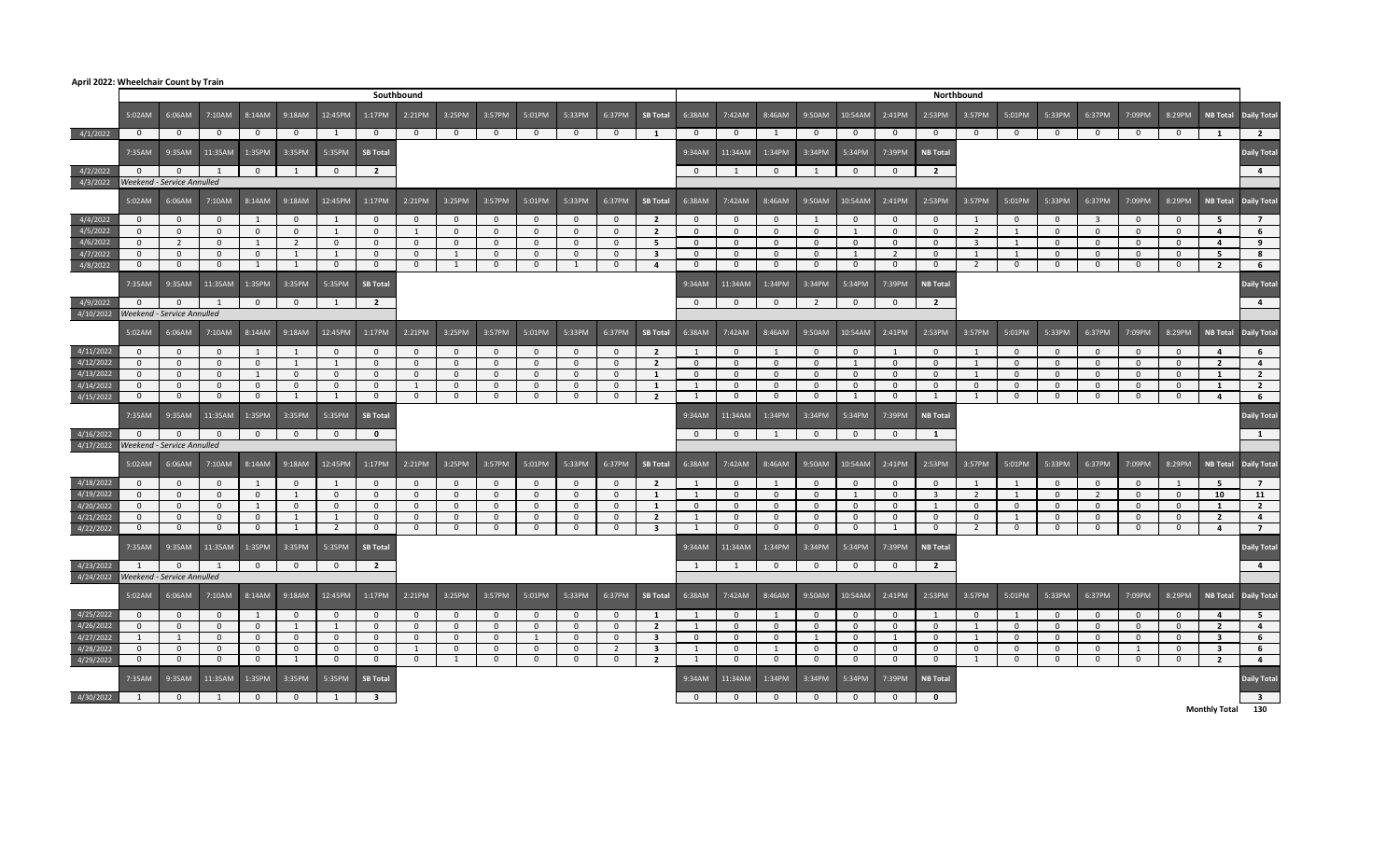| ----------             |                                                                                                                                              |                            |                              |                         |                |                |                         |                         |                |                                  |                |                            |                |                         |                |                          |                |                                  |                |                          |                 |                |                |                      |                |                            |                |                         |                               |
|------------------------|----------------------------------------------------------------------------------------------------------------------------------------------|----------------------------|------------------------------|-------------------------|----------------|----------------|-------------------------|-------------------------|----------------|----------------------------------|----------------|----------------------------|----------------|-------------------------|----------------|--------------------------|----------------|----------------------------------|----------------|--------------------------|-----------------|----------------|----------------|----------------------|----------------|----------------------------|----------------|-------------------------|-------------------------------|
|                        |                                                                                                                                              |                            |                              |                         |                |                |                         | Southbound              |                |                                  |                |                            |                |                         |                |                          |                |                                  |                |                          |                 | Northbound     |                |                      |                |                            |                |                         |                               |
|                        | 5:02AM                                                                                                                                       | 6:06AM                     | 7:10AM                       | 8:14AM                  | 9:18AM         | 12:45PM        | $1:17$ PM               | 2:21PM                  | 3:25PM         | 3:57PM                           | 5:01PM         | 5:33PM                     | 6:37PM         | <b>SB Total</b>         | 6:38AM         | 7:42AM                   | 8:46AM         | 9:50AM                           | 10:54AM        | 2:41PM                   | 2:53PM          | 3:57PM         | 5:01PM         | 5:33PM               | 6:37PM         | 7:09PM                     | 8:29PM         |                         | NB Total Daily Total          |
| 4/1/2022               | $\overline{0}$                                                                                                                               | $\overline{0}$             | $\mathbf{0}$                 | $\overline{0}$          | $\overline{0}$ |                | $\mathbf{0}$            | $\overline{0}$          | $\overline{0}$ | $\overline{0}$                   | $\overline{0}$ | $\overline{0}$             | $\overline{0}$ | $\mathbf{1}$            | $\mathbf{0}$   | $\mathbf{0}$             |                | $\overline{0}$                   | 0              | $\overline{0}$           | $\overline{0}$  | $\mathbf{0}$   | $\overline{0}$ | $\overline{0}$       | $\overline{0}$ | $\overline{0}$             | $\overline{0}$ | $\mathbf{1}$            | $\overline{\mathbf{2}}$       |
|                        | 7:35AM                                                                                                                                       | 9:35AM                     | 11:35AM                      | 1:35PM                  | 3:35PM         | 5:35PM         | <b>SB Total</b>         |                         |                |                                  |                |                            |                |                         | 9:34AM         | 11:34AM                  | 1:34PM         | 3:34PM                           | 5:34PM         | 7:39PM                   | <b>NB Total</b> |                |                |                      |                |                            |                |                         | <b>Daily Total</b>            |
| 4/2/2022               | $\overline{0}$                                                                                                                               | $\Omega$                   | $\overline{1}$               | $\overline{0}$          |                | $\overline{0}$ | $\overline{\mathbf{2}}$ |                         |                |                                  |                |                            |                |                         |                |                          | $\mathbf{0}$   |                                  | $\overline{0}$ | $\overline{0}$           | $\overline{2}$  |                |                |                      |                |                            |                |                         | $\overline{4}$                |
| 4/3/2022               |                                                                                                                                              | Weekend - Service Annulled |                              |                         |                |                |                         |                         |                |                                  |                |                            |                |                         |                |                          |                |                                  |                |                          |                 |                |                |                      |                |                            |                |                         |                               |
|                        |                                                                                                                                              |                            |                              |                         |                |                |                         |                         |                |                                  |                |                            |                |                         |                |                          |                |                                  |                |                          |                 |                |                |                      |                |                            |                |                         |                               |
|                        | 5:02AM                                                                                                                                       | 6:06AM                     | 7:10AM                       | 8:14AM                  | 9:18AM         | 12:45PM        | 1:17PM                  | 2:21PM                  | 3:25PM         | 3:57PM                           | 5:01PM         | 5:33PM                     | 6:37PM         | <b>SB Total</b>         | 6:38AM         | 7:42AM                   | 8:46AM         | 9:50AM                           | 10:54AM        | 2:41PM                   | 2:53PM          | 3:57PM         | 5:01PM         | 5:33PM               | 6:37PM         | 7:09PM                     | 8:29PM         |                         | NB Total Daily Total          |
| 4/4/2022               | $\overline{0}$                                                                                                                               |                            | $\mathbf{0}$                 |                         | $\overline{0}$ |                | $\mathbf 0$             | $\overline{\mathbf{0}}$ |                | $\overline{0}$                   | $\Omega$       | $\overline{0}$             |                | $\overline{2}$          | $\Omega$       | $\mathbf{0}$             | $\Omega$       | -1                               | - 0            | $\mathbf{0}$             | $\Omega$        |                | $\Omega$       | $\overline{0}$       | -3             | $\overline{0}$             | $\Omega$       | 5                       | $\overline{z}$                |
| 4/5/2022               | $\Omega$                                                                                                                                     | $\Omega$                   | $\mathbf 0$                  | $\Omega$                | $\overline{0}$ |                | $\Omega$                |                         |                | $\overline{0}$                   |                | $\Omega$                   | $\Omega$       | $\overline{2}$          | $\Omega$       | $\Omega$                 | $\Omega$       | $\overline{0}$                   |                | $\Omega$                 |                 | ີາ             |                | $\Omega$             |                | $\overline{0}$             |                | $\overline{a}$          | - 6                           |
| 4/6/2022               | $\overline{0}$                                                                                                                               | 2                          | $\mathbf{0}$                 |                         | $\overline{2}$ | $\mathbf{0}$   | $\mathbf{0}$            | $\overline{\mathbf{0}}$ | $\overline{0}$ | $\overline{0}$                   | $\overline{0}$ | $\overline{0}$             | $\mathbf{0}$   | $5\overline{)}$         | $\mathbf{0}$   | $\mathbf{0}$             | $\mathbf{0}$   | $\overline{0}$                   | $\Omega$       | $\mathbf{0}$             |                 | $\overline{3}$ |                | $\mathbf{0}$         |                | $\mathbf{0}$               | $\overline{0}$ | $\overline{4}$          | 9                             |
| 4/7/2022               | $\mathbf{0}$                                                                                                                                 |                            | $\mathbf{0}$                 | $\Omega$                |                |                | $\Omega$                | $\overline{0}$          |                | $\overline{0}$                   | $\Omega$       | $\overline{0}$             |                | $\overline{\mathbf{3}}$ | $\mathbf{0}$   | $\mathbf{0}$             | $\Omega$       | $\overline{0}$                   |                | $\mathcal{D}$            |                 |                |                | $\Omega$             |                | $\overline{0}$             | $\Omega$       | $5^{\circ}$             | 8                             |
| 4/8/2022               |                                                                                                                                              |                            | 0                            |                         |                | 0              |                         | - 0                     |                | - 0                              |                |                            |                | $\overline{4}$          | $\Omega$       | 0                        |                | - 0                              |                |                          |                 |                |                | $\Omega$             |                | $\Omega$                   | - 0            | $\overline{2}$          | - 6                           |
|                        | 7:35AM<br>11:35AM<br>3:35PM<br>5:35PM<br>9:35AM<br>1:35PM<br><b>SB Total</b>                                                                 |                            |                              |                         |                |                |                         |                         |                |                                  |                |                            |                |                         | 9:34AM         | 11:34AM                  | 1:34PM         | 3:34PM                           | 5:34PM         | 7:39PM                   | <b>NB Total</b> |                |                |                      |                |                            |                |                         | <b>Daily Total</b>            |
| 4/9/2022               | $\overline{0}$                                                                                                                               | $\overline{0}$             | $\overline{1}$               | $\overline{\mathbf{0}}$ | $\overline{0}$ |                | $\overline{\mathbf{2}}$ |                         |                |                                  |                |                            |                |                         | $\overline{0}$ | $\overline{0}$           | $\overline{0}$ | $\overline{2}$                   | $\overline{0}$ | $\overline{0}$           | $\overline{2}$  |                |                |                      |                |                            |                |                         | $\overline{4}$                |
| $-4/10/2022$           |                                                                                                                                              | Weekend - Service Annulled |                              |                         |                |                |                         |                         |                |                                  |                |                            |                |                         |                |                          |                |                                  |                |                          |                 |                |                |                      |                |                            |                |                         |                               |
|                        | 5:02AM                                                                                                                                       | 6:06AM                     | 7:10AM                       | 8:14AM                  | 9:18AM         | 12:45PM        | 1:17PM                  | 2:21PM                  | 3:25PM         | 3:57PM                           | 5:01PM         | 5:33PM                     | 6:37PM         | <b>SB Total</b>         | 6:38AM         | 7:42AM                   | 8:46AM         | 9:50AM                           | 10:54AM        | 2:41PM                   | 2:53PM          | 3:57PM         | 5:01PM         | 5:33PM               | 6:37PM         | 7:09PM                     | 8:29PM         |                         | <b>NB Total Daily Total</b>   |
| 4/11/2022              | $\overline{0}$                                                                                                                               | $\mathbf{0}$               | $\mathbf{0}$                 |                         |                | $\overline{0}$ | $\Omega$                | $\overline{\mathbf{0}}$ | - 0            | $\overline{0}$                   | $\overline{0}$ | $\overline{0}$             | $\Omega$       | $\overline{2}$          |                | $\mathbf 0$              |                | $\overline{0}$                   | $\Omega$       |                          | $\Omega$        |                | $\Omega$       | $\overline{0}$       | - റ            | $\overline{0}$             | $\Omega$       | $\overline{4}$          | 6                             |
| 4/12/2022              |                                                                                                                                              |                            | $\overline{0}$               | $\overline{0}$          |                |                | $\Omega$                | $\overline{\mathbf{0}}$ | $\Omega$       | $\overline{0}$                   | $\overline{0}$ | $\overline{0}$             |                | $\overline{2}$          | $\mathbf{0}$   | $\mathbf{0}$             | $\Omega$       | $\overline{0}$                   |                | $\Omega$                 |                 |                |                | $\overline{0}$       |                | $\mathbf{0}$               | $\Omega$       | $\overline{2}$          | $\overline{4}$                |
| 4/13/2022              |                                                                                                                                              |                            | $\overline{0}$               |                         | $\mathbf 0$    | 0              | $\Omega$                | - 0                     |                | $\overline{0}$                   | $\Omega$       | $\overline{0}$             |                | 1                       | $\Omega$       | $\mathbf 0$              | -0             | - 0                              |                | $\overline{0}$           |                 |                |                | $\Omega$             |                | $\Omega$                   | $\Omega$       | 1                       | $\overline{\mathbf{2}}$       |
| 4/14/2022              |                                                                                                                                              |                            | $\mathbf{0}$                 | $\Omega$                | $\Omega$       | 0              | $\Omega$                |                         |                | $\overline{0}$                   |                | $\Omega$                   |                | $\mathbf{1}$            |                | $\Omega$                 | $\Omega$       | - 0                              |                | $\Omega$                 |                 | $\Omega$       |                | $\Omega$             |                | $\Omega$                   |                | 1                       | $\overline{\mathbf{2}}$       |
| 4/15/2022              | $\Omega$                                                                                                                                     | $\mathbf{0}$               | $\overline{0}$               | $\overline{0}$          |                |                | $\overline{0}$          | $\overline{0}$          | $\Omega$       | $\overline{0}$                   | $\Omega$       | $\overline{0}$             | $\overline{0}$ | $\overline{2}$          |                | $\mathbf{0}$             | $\mathbf{0}$   | $\overline{0}$                   |                | $\mathbf{0}$             |                 |                | $\Omega$       | $\Omega$             | $\Omega$       | $\overline{0}$             | $\overline{0}$ | $\overline{a}$          | $6^{\circ}$                   |
|                        | 7:35AM                                                                                                                                       | 9:35AM                     | 11:35AM                      | 1:35PM                  | 3:35PM         | 5:35PM         | <b>SB Total</b>         |                         |                |                                  |                |                            |                |                         | 9:34AM         | 11:34AM                  | 1:34PM         | 3:34PM                           | 5:34PM         | 7:39PM                   | <b>NB Total</b> |                |                |                      |                |                            |                |                         | <b>Daily Total</b>            |
| 4/16/2022              |                                                                                                                                              |                            |                              |                         |                |                |                         |                         |                |                                  |                |                            |                |                         |                | $\mathbf{0}$             |                | $\overline{0}$                   | $\Omega$       | $\mathbf{0}$             |                 |                |                |                      |                |                            |                |                         |                               |
|                        | $\overline{0}$<br>$\overline{0}$<br>$\overline{0}$<br>$\overline{0}$<br>$\mathbf{0}$<br>$\mathbf{0}$<br>4/17/2022 Weekend - Service Annulled |                            |                              |                         |                |                |                         |                         |                |                                  |                |                            |                |                         |                |                          |                |                                  |                |                          |                 |                |                |                      |                |                            |                |                         | $\overline{\phantom{a}1}$     |
|                        |                                                                                                                                              |                            |                              |                         |                |                |                         |                         |                |                                  |                |                            |                |                         |                |                          |                |                                  |                |                          |                 |                |                |                      |                |                            |                |                         |                               |
|                        | 5:02AM                                                                                                                                       | 6:06AM                     | 7:10AM                       | 8:14AM                  | 9:18AM         | 12:45PM        | 1:17PM                  | 2:21PM                  | 3:25PM         | 3:57PM                           | 5:01PM         | 5:33PM                     | 6:37PM         | <b>SB Total</b>         | 6:38AM         | 7:42AM                   | 8:46AM         | 9:50AM                           | 10:54AM        | 2:41PM                   | 2:53PM          | 3:57PM         | 5:01PM         | 5:33PM               | 6:37PM         | 7:09PM                     | 8:29PM         |                         | <b>NB Total Daily Total</b>   |
| 4/18/2022              | $\mathbf{0}$                                                                                                                                 | $\Omega$                   | $\mathbf{0}$                 |                         | $\overline{0}$ |                | $\mathbf{0}$            | - 0                     | 0              | $\overline{0}$                   | $\Omega$       | $\overline{0}$<br>$\Omega$ | $\Omega$       | $\overline{2}$          |                | $\mathbf{0}$             |                | $\overline{0}$                   | $\Omega$       | $\overline{0}$           | $\Omega$        | $\mathcal{D}$  |                | $\Omega$<br>$\Omega$ | $\Omega$       | $\overline{0}$<br>$\Omega$ |                | 5                       | $\overline{7}$                |
| 4/19/2022<br>4/20/2022 | $\Omega$                                                                                                                                     |                            | $\mathbf{0}$<br>$\mathbf{0}$ | 0                       | $\overline{0}$ | 0<br>0         | 0<br>$\Omega$           | - 0<br>- 0              | 0              | $\overline{0}$<br>$\overline{0}$ | $\Omega$       | $\Omega$                   |                | $\mathbf{1}$<br>1       | $\mathbf{0}$   | $\Omega$<br>$\mathbf{0}$ | -0<br>$\Omega$ | $\overline{0}$<br>$\overline{0}$ | $\Omega$       | $\Omega$<br>$\mathbf{0}$ |                 | $\mathbf{0}$   |                | $\Omega$             |                | $\Omega$                   | - റ            | 10<br>1                 | 11<br>$\overline{\mathbf{2}}$ |
| 4/21/2022              | $\mathbf{0}$                                                                                                                                 | $\mathbf{0}$               | $\overline{0}$               | $\overline{0}$          |                |                | $\overline{0}$          | $\overline{0}$          | $\overline{0}$ | $\overline{0}$                   | $\overline{0}$ | $\Omega$                   | $\overline{0}$ | $\overline{2}$          |                | $\mathbf{0}$             | $\overline{0}$ | $\overline{0}$                   | $\Omega$       | $\overline{0}$           |                 | $\Omega$       |                | $\overline{0}$       | $\Omega$       | $\mathbf{0}$               | $\overline{0}$ | $\overline{2}$          | $\overline{4}$                |
| 4/22/2022              |                                                                                                                                              |                            | $\overline{0}$               | $\overline{0}$          |                | <sup>2</sup>   | 0                       | 0                       | 0              | $\overline{0}$                   | $\Omega$       | 0                          | $\Omega$       | $\overline{\mathbf{3}}$ |                | $\mathbf 0$              | 0              | $\mathbf 0$                      | 0              |                          |                 | $\overline{2}$ |                | $\Omega$             |                | $\Omega$                   | $\Omega$       | $\overline{\mathbf{a}}$ | $\overline{7}$                |
|                        | 7:35AM                                                                                                                                       | 9:35AM                     | 11:35AM                      | 1:35PM                  | 3:35PM         | 5:35PM         | <b>SB Total</b>         |                         |                |                                  |                |                            |                |                         | 9:34AM         | 11:34AM                  | 1:34PM         | 3:34PM                           | 5:34PM         | 7:39PM                   | <b>NB Total</b> |                |                |                      |                |                            |                |                         | <b>Daily Total</b>            |
| 4/23/2022              |                                                                                                                                              | $\Omega$                   |                              | $\overline{0}$          | $\overline{0}$ | $\overline{0}$ | $\overline{2}$          |                         |                |                                  |                |                            |                |                         |                | -1                       | $\mathbf{0}$   | $\overline{0}$                   | $\overline{0}$ | $\overline{0}$           | $\overline{2}$  |                |                |                      |                |                            |                |                         | $\overline{4}$                |
| 4/24/2022              |                                                                                                                                              | Weekend - Service Annulled |                              |                         |                |                |                         |                         |                |                                  |                |                            |                |                         |                |                          |                |                                  |                |                          |                 |                |                |                      |                |                            |                |                         |                               |
|                        | 5:02AM                                                                                                                                       | 6:06AM                     | 7:10AM                       | 8:14AM                  | 9:18AM         | 12:45PM        | 1:17PM                  | 2:21PM                  | 3:25PM         | 3:57PM                           | 5:01PM         | 5:33PM                     | 6:37PM         | <b>SB Total</b>         | 6:38AM         | 7:42AM                   | 8:46AM         | 9:50AM                           | 10:54AM        | 2:41PM                   | 2:53PM          | 3:57PM         | 5:01PM         | 5:33PM               | 6:37PM         | 7:09PM                     | 8:29PM         |                         | <b>NB Total Daily Total</b>   |
| 4/25/2022              | $\mathbf{0}$                                                                                                                                 | $\mathbf{0}$               | $\mathbf{0}$                 |                         | $\overline{0}$ | $\overline{0}$ | $\overline{0}$          | $\overline{0}$          | - 0            | $\overline{0}$                   | $\mathbf{0}$   | $\overline{0}$             | $\mathbf{0}$   | $\mathbf{1}$            |                | $\mathbf{0}$             |                | $\overline{0}$                   | $\overline{0}$ | $\overline{0}$           |                 | $\overline{0}$ |                | $\mathbf{0}$         | $\Omega$       | $\overline{0}$             | $\overline{0}$ | $\overline{4}$          | $\overline{\phantom{0}}$ 5    |
| 4/26/2022              |                                                                                                                                              |                            | $\mathbf{0}$                 | $\Omega$                |                |                | $\Omega$                | $\overline{0}$          |                | $\overline{0}$                   | $\Omega$       | $\Omega$                   |                | $\overline{2}$          |                | $\Omega$                 | $\overline{0}$ | $\overline{0}$                   |                | $\overline{0}$           |                 |                |                | $\overline{0}$       | $\Omega$       | $\overline{0}$             | $\Omega$       | $\overline{2}$          |                               |
| 4/27/2022              |                                                                                                                                              |                            | $\mathbf{0}$                 | - 0                     | $\mathbf{0}$   | 0              | 0                       | - 0                     | $\Omega$       | $\overline{0}$                   |                | $\Omega$                   | $\Omega$       | - 3                     | $\Omega$       | $\Omega$                 | 0              |                                  |                |                          |                 |                |                | $\Omega$             |                | $\Omega$                   | $\Omega$       | $\overline{\mathbf{3}}$ | -6                            |
| 4/28/2022              |                                                                                                                                              |                            | $\overline{0}$               | $\Omega$                | $\overline{0}$ | 0              | $\Omega$                |                         |                | $\overline{0}$                   | $\Omega$       | $\Omega$                   | $\mathcal{D}$  | $\overline{\mathbf{3}}$ |                | $\Omega$                 |                | $\overline{0}$                   |                | $\Omega$                 |                 | $\Omega$       |                | $\Omega$             |                |                            | $\Omega$       | $\overline{\mathbf{3}}$ | 6                             |
| 4/29/2022              |                                                                                                                                              |                            | $\mathbf{0}$                 | 0                       |                | $\overline{0}$ | 0                       | 0                       |                | $\overline{0}$                   | $\Omega$       | $\Omega$                   | $\mathbf{0}$   | $\overline{2}$          |                | 0                        |                | 0                                | 0              | $\mathbf{0}$             |                 |                |                | $\Omega$             |                | $\Omega$                   | $\overline{0}$ | $\overline{\mathbf{2}}$ | $\overline{4}$                |
|                        | 7:35AM                                                                                                                                       | 9:35AM                     | 11:35AM                      | 1:35PM                  | 3:35PM         | 5:35PM         | <b>SB Total</b>         |                         |                |                                  |                |                            |                |                         | 9:34AM         | 11:34AM                  | 1:34PM         | 3:34PM                           | 5:34PM         | 7:39PM                   | <b>NB Total</b> |                |                |                      |                |                            |                |                         | <b>Daily Total</b>            |
| 4/30/2022              |                                                                                                                                              | $\Omega$                   |                              | $\overline{0}$          | $\overline{0}$ |                | $\overline{\mathbf{3}}$ |                         |                |                                  |                |                            |                |                         | $\mathbf{0}$   | $\mathbf{0}$             | $\Omega$       | $\overline{0}$                   | $\overline{0}$ | $\overline{0}$           | $\mathbf 0$     |                |                |                      |                |                            |                |                         | $\overline{\mathbf{3}}$       |
|                        |                                                                                                                                              |                            |                              |                         |                |                |                         |                         |                |                                  |                |                            |                |                         |                |                          |                |                                  |                |                          |                 |                |                |                      |                |                            |                | Monthly Total 130       |                               |

## **April 2022: Wheelchair Count by Train**